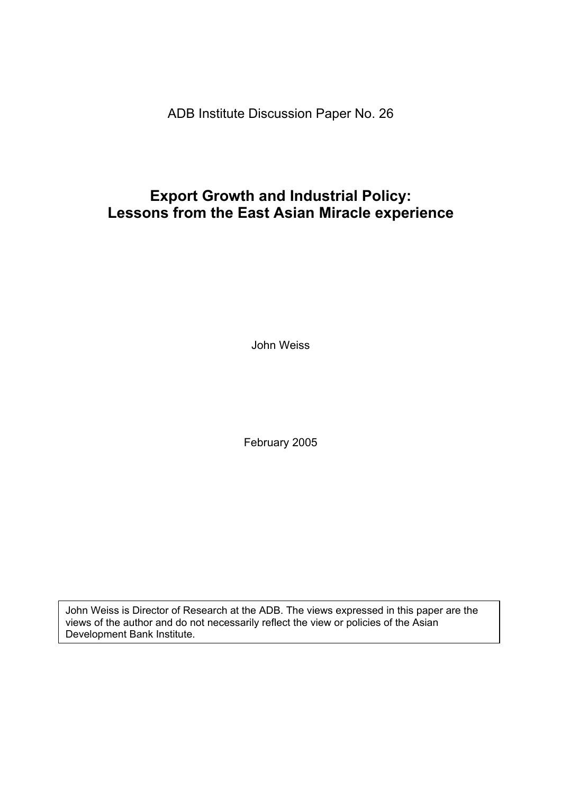ADB Institute Discussion Paper No. 26

# **Export Growth and Industrial Policy: Lessons from the East Asian Miracle experience**

John Weiss

February 2005

John Weiss is Director of Research at the ADB. The views expressed in this paper are the views of the author and do not necessarily reflect the view or policies of the Asian Development Bank Institute.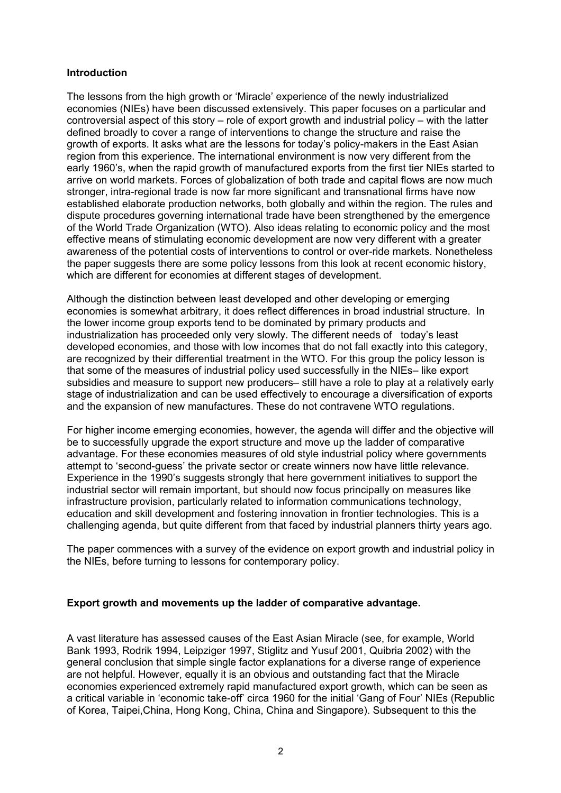# **Introduction**

The lessons from the high growth or 'Miracle' experience of the newly industrialized economies (NIEs) have been discussed extensively. This paper focuses on a particular and controversial aspect of this story – role of export growth and industrial policy – with the latter defined broadly to cover a range of interventions to change the structure and raise the growth of exports. It asks what are the lessons for today's policy-makers in the East Asian region from this experience. The international environment is now very different from the early 1960's, when the rapid growth of manufactured exports from the first tier NIEs started to arrive on world markets. Forces of globalization of both trade and capital flows are now much stronger, intra-regional trade is now far more significant and transnational firms have now established elaborate production networks, both globally and within the region. The rules and dispute procedures governing international trade have been strengthened by the emergence of the World Trade Organization (WTO). Also ideas relating to economic policy and the most effective means of stimulating economic development are now very different with a greater awareness of the potential costs of interventions to control or over-ride markets. Nonetheless the paper suggests there are some policy lessons from this look at recent economic history, which are different for economies at different stages of development.

Although the distinction between least developed and other developing or emerging economies is somewhat arbitrary, it does reflect differences in broad industrial structure. In the lower income group exports tend to be dominated by primary products and industrialization has proceeded only very slowly. The different needs of today's least developed economies, and those with low incomes that do not fall exactly into this category, are recognized by their differential treatment in the WTO. For this group the policy lesson is that some of the measures of industrial policy used successfully in the NIEs– like export subsidies and measure to support new producers– still have a role to play at a relatively early stage of industrialization and can be used effectively to encourage a diversification of exports and the expansion of new manufactures. These do not contravene WTO regulations.

For higher income emerging economies, however, the agenda will differ and the objective will be to successfully upgrade the export structure and move up the ladder of comparative advantage. For these economies measures of old style industrial policy where governments attempt to 'second-guess' the private sector or create winners now have little relevance. Experience in the 1990's suggests strongly that here government initiatives to support the industrial sector will remain important, but should now focus principally on measures like infrastructure provision, particularly related to information communications technology, education and skill development and fostering innovation in frontier technologies. This is a challenging agenda, but quite different from that faced by industrial planners thirty years ago.

The paper commences with a survey of the evidence on export growth and industrial policy in the NIEs, before turning to lessons for contemporary policy.

# **Export growth and movements up the ladder of comparative advantage.**

A vast literature has assessed causes of the East Asian Miracle (see, for example, World Bank 1993, Rodrik 1994, Leipziger 1997, Stiglitz and Yusuf 2001, Quibria 2002) with the general conclusion that simple single factor explanations for a diverse range of experience are not helpful. However, equally it is an obvious and outstanding fact that the Miracle economies experienced extremely rapid manufactured export growth, which can be seen as a critical variable in 'economic take-off' circa 1960 for the initial 'Gang of Four' NIEs (Republic of Korea, Taipei,China, Hong Kong, China, China and Singapore). Subsequent to this the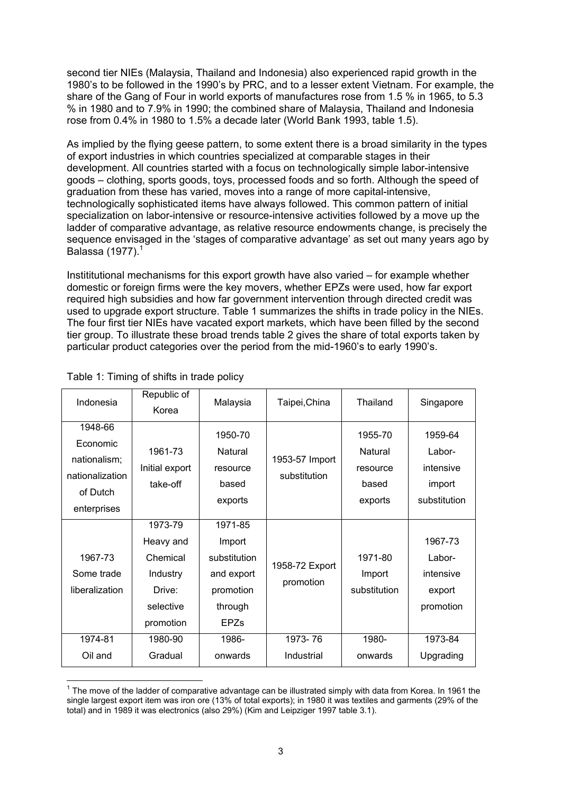second tier NIEs (Malaysia, Thailand and Indonesia) also experienced rapid growth in the 1980's to be followed in the 1990's by PRC, and to a lesser extent Vietnam. For example, the share of the Gang of Four in world exports of manufactures rose from 1.5 % in 1965, to 5.3 % in 1980 and to 7.9% in 1990; the combined share of Malaysia, Thailand and Indonesia rose from 0.4% in 1980 to 1.5% a decade later (World Bank 1993, table 1.5).

As implied by the flying geese pattern, to some extent there is a broad similarity in the types of export industries in which countries specialized at comparable stages in their development. All countries started with a focus on technologically simple labor-intensive goods – clothing, sports goods, toys, processed foods and so forth. Although the speed of graduation from these has varied, moves into a range of more capital-intensive, technologically sophisticated items have always followed. This common pattern of initial specialization on labor-intensive or resource-intensive activities followed by a move up the ladder of comparative advantage, as relative resource endowments change, is precisely the sequence envisaged in the 'stages of comparative advantage' as set out many years ago by Balassa (1977). $<sup>1</sup>$ </sup>

Instititutional mechanisms for this export growth have also varied – for example whether domestic or foreign firms were the key movers, whether EPZs were used, how far export required high subsidies and how far government intervention through directed credit was used to upgrade export structure. Table 1 summarizes the shifts in trade policy in the NIEs. The four first tier NIEs have vacated export markets, which have been filled by the second tier group. To illustrate these broad trends table 2 gives the share of total exports taken by particular product categories over the period from the mid-1960's to early 1990's.

| Indonesia                                                                         | Republic of<br>Korea                                                             | Malaysia                                                                               | Taipei, China                  | Thailand                                           | Singapore                                                |
|-----------------------------------------------------------------------------------|----------------------------------------------------------------------------------|----------------------------------------------------------------------------------------|--------------------------------|----------------------------------------------------|----------------------------------------------------------|
| 1948-66<br>Economic<br>nationalism;<br>nationalization<br>of Dutch<br>enterprises | 1961-73<br>Initial export<br>take-off                                            | 1950-70<br>Natural<br>resource<br>based<br>exports                                     | 1953-57 Import<br>substitution | 1955-70<br>Natural<br>resource<br>based<br>exports | 1959-64<br>Labor-<br>intensive<br>import<br>substitution |
| 1967-73<br>Some trade<br>liberalization                                           | 1973-79<br>Heavy and<br>Chemical<br>Industry<br>Drive:<br>selective<br>promotion | 1971-85<br>Import<br>substitution<br>and export<br>promotion<br>through<br><b>EPZs</b> | 1958-72 Export<br>promotion    | 1971-80<br>Import<br>substitution                  | 1967-73<br>Labor-<br>intensive<br>export<br>promotion    |
| 1974-81                                                                           | 1980-90                                                                          | 1986-                                                                                  | 1973-76                        | 1980-                                              | 1973-84                                                  |
| Oil and                                                                           | Gradual                                                                          | onwards                                                                                | Industrial                     | onwards                                            | Upgrading                                                |

# Table 1: Timing of shifts in trade policy

The move of the ladder of comparative advantage can be illustrated simply with data from Korea. In 1961 the 1<br>The move of the ladder of comparative advantage can be illustrated simply with data from Korea. In 1961 the single largest export item was iron ore (13% of total exports); in 1980 it was textiles and garments (29% of the total) and in 1989 it was electronics (also 29%) (Kim and Leipziger 1997 table 3.1).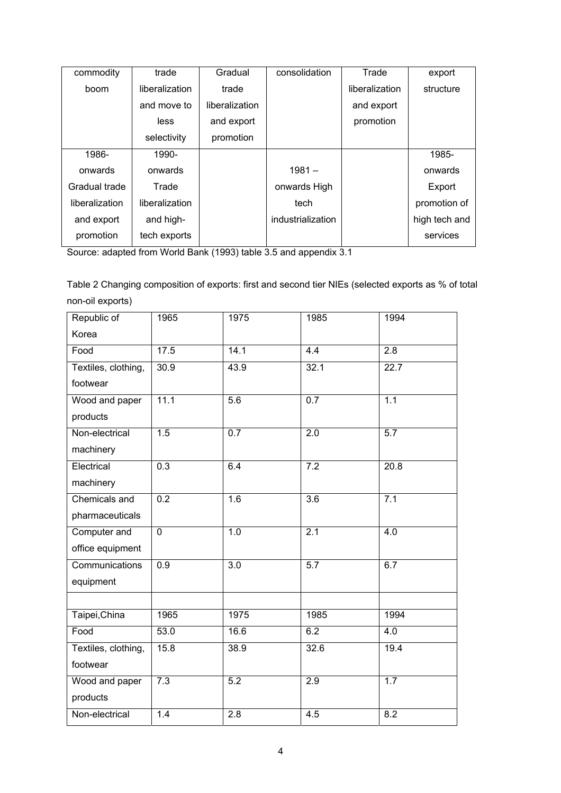| commodity      | trade          | Gradual        | consolidation     | Trade          | export        |
|----------------|----------------|----------------|-------------------|----------------|---------------|
| boom           | liberalization | trade          |                   | liberalization | structure     |
|                | and move to    | liberalization |                   | and export     |               |
|                | less           | and export     |                   | promotion      |               |
|                | selectivity    | promotion      |                   |                |               |
| 1986-          | 1990-          |                |                   |                | 1985-         |
| onwards        | onwards        |                | $1981 -$          |                | onwards       |
| Gradual trade  | Trade          |                | onwards High      |                | Export        |
| liberalization | liberalization |                | tech              |                | promotion of  |
| and export     | and high-      |                | industrialization |                | high tech and |
| promotion      | tech exports   |                |                   |                | services      |

Source: adapted from World Bank (1993) table 3.5 and appendix 3.1

Table 2 Changing composition of exports: first and second tier NIEs (selected exports as % of total non-oil exports)

| Republic of           | 1965             | 1975             | 1985             | 1994             |
|-----------------------|------------------|------------------|------------------|------------------|
| Korea                 |                  |                  |                  |                  |
| Food                  | 17.5             | 14.1             | 4.4              | 2.8              |
| Textiles, clothing,   | 30.9             | 43.9             | 32.1             | 22.7             |
| footwear              |                  |                  |                  |                  |
| Wood and paper        | 11.1             | $\overline{5.6}$ | 0.7              | 1.1              |
| products              |                  |                  |                  |                  |
| Non-electrical        | 1.5              | $\overline{0.7}$ | 2.0              | $\overline{5.7}$ |
| machinery             |                  |                  |                  |                  |
| Electrical            | 0.3              | 6.4              | $\overline{7.2}$ | 20.8             |
| machinery             |                  |                  |                  |                  |
| Chemicals and         | 0.2              | 1.6              | $\overline{3.6}$ | 7.1              |
| pharmaceuticals       |                  |                  |                  |                  |
| Computer and          | $\overline{0}$   | 1.0              | 2.1              | $\overline{4.0}$ |
| office equipment      |                  |                  |                  |                  |
| <b>Communications</b> | $\overline{0.9}$ | $\overline{3.0}$ | 5.7              | 6.7              |
| equipment             |                  |                  |                  |                  |
|                       |                  |                  |                  |                  |
| Taipei, China         | 1965             | 1975             | 1985             | 1994             |
| Food                  | 53.0             | 16.6             | 6.2              | 4.0              |
| Textiles, clothing,   | 15.8             | 38.9             | 32.6             | 19.4             |
| footwear              |                  |                  |                  |                  |
| Wood and paper        | 7.3              | 5.2              | 2.9              | 1.7              |
| products              |                  |                  |                  |                  |
| Non-electrical        | 1.4              | $\overline{2.8}$ | 4.5              | 8.2              |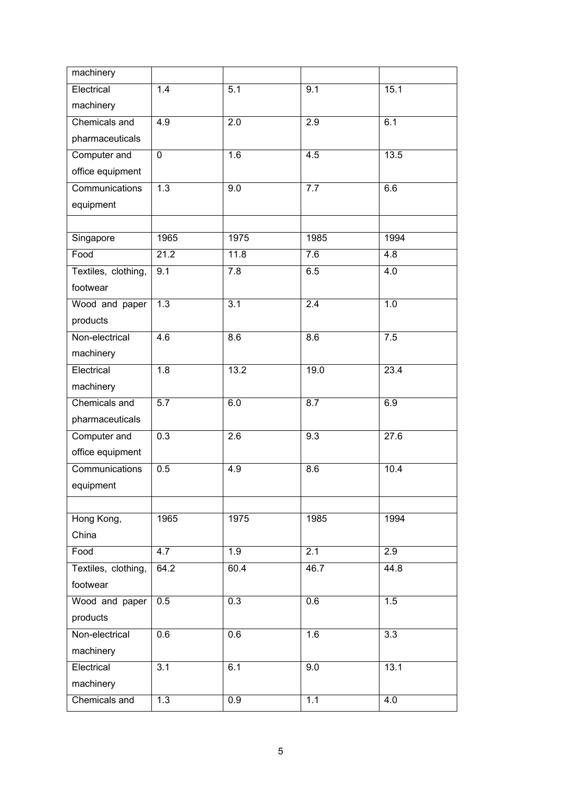| machinery             |                  |                   |                  |                  |
|-----------------------|------------------|-------------------|------------------|------------------|
| Electrical            | 1.4              | $\overline{5.1}$  | 9.1              | 15.1             |
| machinery             |                  |                   |                  |                  |
| Chemicals and         | 4.9              | 2.0               | $\overline{2.9}$ | 6.1              |
| pharmaceuticals       |                  |                   |                  |                  |
| Computer and          | $\overline{0}$   | 1.6               | 4.5              | 13.5             |
| office equipment      |                  |                   |                  |                  |
| <b>Communications</b> | 1.3              | 9.0               | 7.7              | 6.6              |
| equipment             |                  |                   |                  |                  |
|                       |                  |                   |                  |                  |
| Singapore             | 1965             | 1975              | 1985             | 1994             |
| Food                  | 21.2             | 11.8              | 7.6              | 4.8              |
| Textiles, clothing,   | 9.1              | 7.8               | 6.5              | 4.0              |
| footwear              |                  |                   |                  |                  |
| Wood and paper        | $\overline{1.3}$ | $\overline{3.1}$  | 2.4              | 1.0              |
| products              |                  |                   |                  |                  |
| Non-electrical        | 4.6              | 8.6               | 8.6              | 7.5              |
| machinery             |                  |                   |                  |                  |
| Electrical            | 1.8              | $\overline{13.2}$ | 19.0             | 23.4             |
| machinery             |                  |                   |                  |                  |
| Chemicals and         | $\overline{5.7}$ | 6.0               | 8.7              | 6.9              |
| pharmaceuticals       |                  |                   |                  |                  |
| Computer and          | 0.3              | 2.6               | 9.3              | 27.6             |
| office equipment      |                  |                   |                  |                  |
| Communications        | 0.5              | 4.9               | $\overline{8.6}$ | 10.4             |
| equipment             |                  |                   |                  |                  |
|                       |                  |                   |                  |                  |
| Hong Kong,            | 1965             | 1975              | 1985             | 1994             |
| China                 |                  |                   |                  |                  |
| Food                  | 4.7              | 1.9               | 2.1              | 2.9              |
| Textiles, clothing,   | 64.2             | 60.4              | 46.7             | 44.8             |
| footwear              |                  |                   |                  |                  |
| Wood and paper        | 0.5              | 0.3               | 0.6              | 1.5              |
| products              |                  |                   |                  |                  |
| Non-electrical        | 0.6              | 0.6               | 1.6              | $\overline{3.3}$ |
| machinery             |                  |                   |                  |                  |
| Electrical            | 3.1              | 6.1               | 9.0              | 13.1             |
| machinery             |                  |                   |                  |                  |
| Chemicals and         | 1.3              | $\overline{0.9}$  | 1.1              | $\overline{4.0}$ |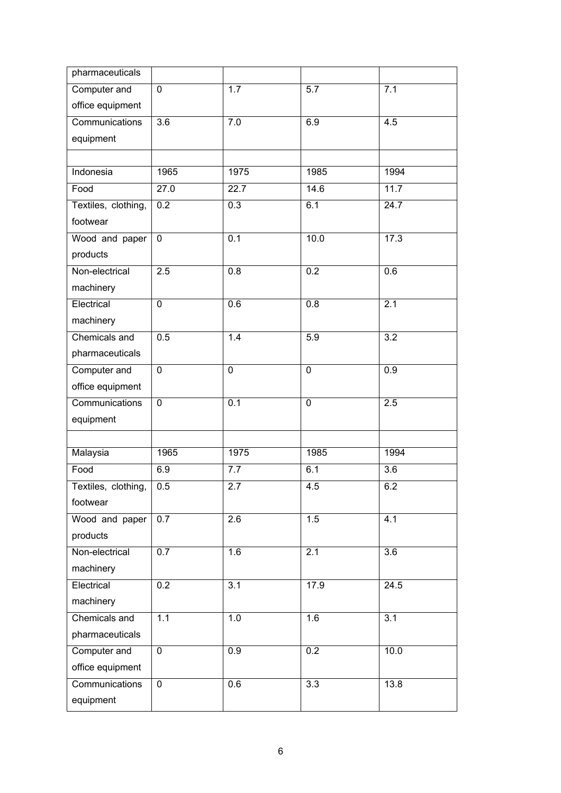| pharmaceuticals     |                  |                  |                  |                  |
|---------------------|------------------|------------------|------------------|------------------|
| Computer and        | $\mathbf 0$      | 1.7              | 5.7              | 7.1              |
| office equipment    |                  |                  |                  |                  |
| Communications      | 3.6              | 7.0              | 6.9              | 4.5              |
| equipment           |                  |                  |                  |                  |
|                     |                  |                  |                  |                  |
| Indonesia           | 1965             | 1975             | 1985             | 1994             |
| Food                | 27.0             | 22.7             | 14.6             | 11.7             |
| Textiles, clothing, | $\overline{0.2}$ | 0.3              | 6.1              | 24.7             |
| footwear            |                  |                  |                  |                  |
| Wood and paper      | $\mathbf 0$      | 0.1              | 10.0             | 17.3             |
| products            |                  |                  |                  |                  |
| Non-electrical      | 2.5              | 0.8              | 0.2              | 0.6              |
| machinery           |                  |                  |                  |                  |
| Electrical          | $\mathbf 0$      | 0.6              | 0.8              | 2.1              |
| machinery           |                  |                  |                  |                  |
| Chemicals and       | 0.5              | 1.4              | 5.9              | 3.2              |
| pharmaceuticals     |                  |                  |                  |                  |
| Computer and        | $\mathbf 0$      | $\mathbf 0$      | $\pmb{0}$        | 0.9              |
| office equipment    |                  |                  |                  |                  |
| Communications      | $\mathbf 0$      | $\overline{0.1}$ | $\mathbf 0$      | 2.5              |
| equipment           |                  |                  |                  |                  |
|                     |                  |                  |                  |                  |
| Malaysia            | 1965             | 1975             | 1985             | 1994             |
| Food                | 6.9              | 7.7              | 6.1              | 3.6              |
| Textiles, clothing, | 0.5              | 2.7              | 4.5              | 6.2              |
| footwear            |                  |                  |                  |                  |
| Wood and paper      | 0.7              | $\overline{2.6}$ | 1.5              | 4.1              |
| products            |                  |                  |                  |                  |
| Non-electrical      | 0.7              | 1.6              | $\overline{2.1}$ | $\overline{3.6}$ |
| machinery           |                  |                  |                  |                  |
| Electrical          | 0.2              | 3.1              | 17.9             | 24.5             |
| machinery           |                  |                  |                  |                  |
| Chemicals and       | 1.1              | 1.0              | 1.6              | $\overline{3.1}$ |
| pharmaceuticals     |                  |                  |                  |                  |
| Computer and        | $\mathbf 0$      | 0.9              | 0.2              | 10.0             |
| office equipment    |                  |                  |                  |                  |
| Communications      | $\mathbf 0$      | 0.6              | $\overline{3.3}$ | 13.8             |
| equipment           |                  |                  |                  |                  |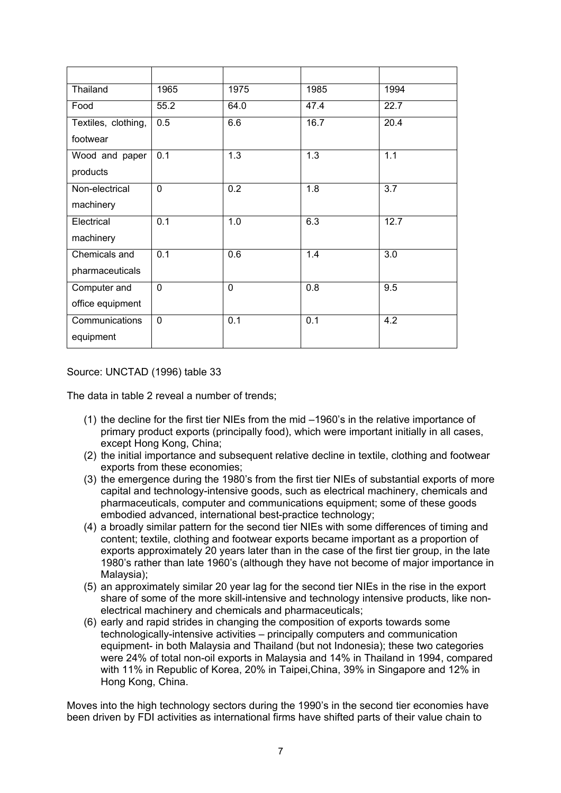| Thailand            | 1965             | 1975             | 1985 | 1994 |
|---------------------|------------------|------------------|------|------|
| Food                | 55.2             | 64.0             | 47.4 | 22.7 |
| Textiles, clothing, | 0.5              | 6.6              | 16.7 | 20.4 |
| footwear            |                  |                  |      |      |
| Wood and paper      | 0.1              | $\overline{1.3}$ | 1.3  | 1.1  |
| products            |                  |                  |      |      |
| Non-electrical      | $\mathbf{0}$     | 0.2              | 1.8  | 3.7  |
| machinery           |                  |                  |      |      |
| Electrical          | $\overline{0.1}$ | 1.0              | 6.3  | 12.7 |
| machinery           |                  |                  |      |      |
| Chemicals and       | $\overline{0.1}$ | 0.6              | 1.4  | 3.0  |
| pharmaceuticals     |                  |                  |      |      |
| Computer and        | $\mathbf 0$      | $\Omega$         | 0.8  | 9.5  |
| office equipment    |                  |                  |      |      |
| Communications      | $\mathbf 0$      | 0.1              | 0.1  | 4.2  |
| equipment           |                  |                  |      |      |

# Source: UNCTAD (1996) table 33

The data in table 2 reveal a number of trends;

- (1) the decline for the first tier NIEs from the mid –1960's in the relative importance of primary product exports (principally food), which were important initially in all cases, except Hong Kong, China;
- (2) the initial importance and subsequent relative decline in textile, clothing and footwear exports from these economies;
- (3) the emergence during the 1980's from the first tier NIEs of substantial exports of more capital and technology-intensive goods, such as electrical machinery, chemicals and pharmaceuticals, computer and communications equipment; some of these goods embodied advanced, international best-practice technology;
- (4) a broadly similar pattern for the second tier NIEs with some differences of timing and content; textile, clothing and footwear exports became important as a proportion of exports approximately 20 years later than in the case of the first tier group, in the late 1980's rather than late 1960's (although they have not become of major importance in Malaysia);
- (5) an approximately similar 20 year lag for the second tier NIEs in the rise in the export share of some of the more skill-intensive and technology intensive products, like nonelectrical machinery and chemicals and pharmaceuticals;
- (6) early and rapid strides in changing the composition of exports towards some technologically-intensive activities – principally computers and communication equipment- in both Malaysia and Thailand (but not Indonesia); these two categories were 24% of total non-oil exports in Malaysia and 14% in Thailand in 1994, compared with 11% in Republic of Korea, 20% in Taipei,China, 39% in Singapore and 12% in Hong Kong, China.

Moves into the high technology sectors during the 1990's in the second tier economies have been driven by FDI activities as international firms have shifted parts of their value chain to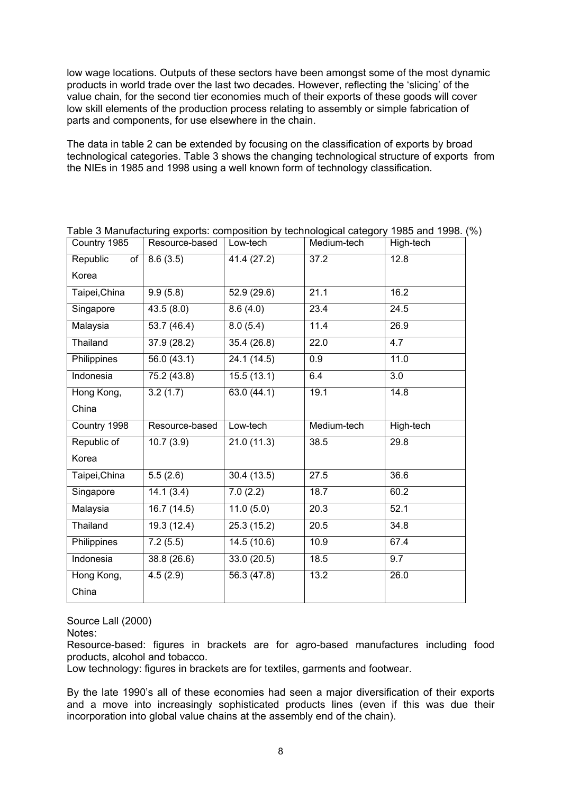low wage locations. Outputs of these sectors have been amongst some of the most dynamic products in world trade over the last two decades. However, reflecting the 'slicing' of the value chain, for the second tier economies much of their exports of these goods will cover low skill elements of the production process relating to assembly or simple fabrication of parts and components, for use elsewhere in the chain.

The data in table 2 can be extended by focusing on the classification of exports by broad technological categories. Table 3 shows the changing technological structure of exports from the NIEs in 1985 and 1998 using a well known form of technology classification.

| Country 1985   | Resource-based | Low-tech    | Medium-tech | High-tech |
|----------------|----------------|-------------|-------------|-----------|
| Republic<br>of | 8.6(3.5)       | 41.4 (27.2) | 37.2        | 12.8      |
| Korea          |                |             |             |           |
| Taipei, China  | 9.9(5.8)       | 52.9(29.6)  | 21.1        | 16.2      |
| Singapore      | 43.5(8.0)      | 8.6(4.0)    | 23.4        | 24.5      |
| Malaysia       | 53.7(46.4)     | 8.0(5.4)    | 11.4        | 26.9      |
| Thailand       | 37.9 (28.2)    | 35.4 (26.8) | 22.0        | 4.7       |
| Philippines    | 56.0 (43.1)    | 24.1 (14.5) | 0.9         | 11.0      |
| Indonesia      | 75.2 (43.8)    | 15.5(13.1)  | 6.4         | 3.0       |
| Hong Kong,     | 3.2(1.7)       | 63.0(44.1)  | 19.1        | 14.8      |
| China          |                |             |             |           |
|                |                |             |             |           |
| Country 1998   | Resource-based | Low-tech    | Medium-tech | High-tech |
| Republic of    | 10.7(3.9)      | 21.0(11.3)  | 38.5        | 29.8      |
| Korea          |                |             |             |           |
| Taipei, China  | 5.5(2.6)       | 30.4(13.5)  | 27.5        | 36.6      |
| Singapore      | 14.1(3.4)      | 7.0(2.2)    | 18.7        | 60.2      |
| Malaysia       | 16.7(14.5)     | 11.0(5.0)   | 20.3        | 52.1      |
| Thailand       | 19.3(12.4)     | 25.3(15.2)  | 20.5        | 34.8      |
| Philippines    | 7.2(5.5)       | 14.5(10.6)  | 10.9        | 67.4      |
| Indonesia      | 38.8 (26.6)    | 33.0(20.5)  | 18.5        | 9.7       |
| Hong Kong,     | 4.5(2.9)       | 56.3 (47.8) | 13.2        | 26.0      |

Table 3 Manufacturing exports: composition by technological category 1985 and 1998. (%)

Source Lall (2000)

Notes:

Resource-based: figures in brackets are for agro-based manufactures including food products, alcohol and tobacco.

Low technology: figures in brackets are for textiles, garments and footwear.

By the late 1990's all of these economies had seen a major diversification of their exports and a move into increasingly sophisticated products lines (even if this was due their incorporation into global value chains at the assembly end of the chain).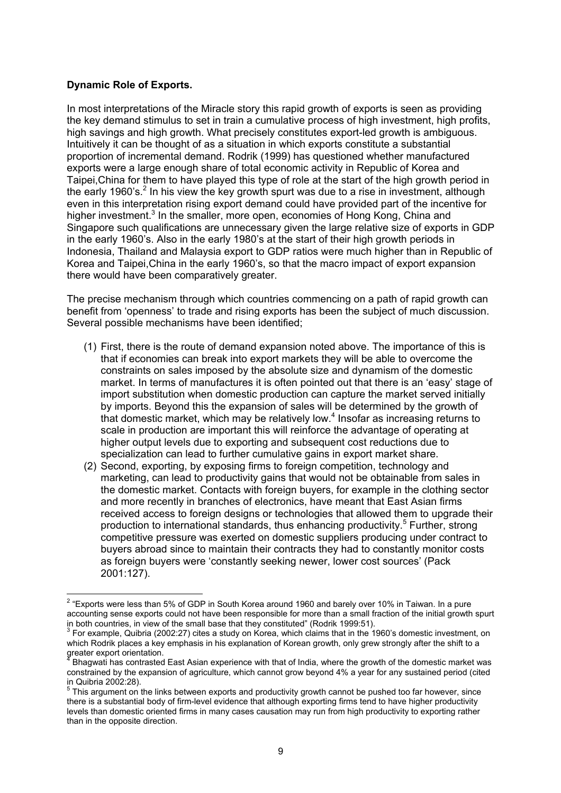# **Dynamic Role of Exports.**

In most interpretations of the Miracle story this rapid growth of exports is seen as providing the key demand stimulus to set in train a cumulative process of high investment, high profits, high savings and high growth. What precisely constitutes export-led growth is ambiguous. Intuitively it can be thought of as a situation in which exports constitute a substantial proportion of incremental demand. Rodrik (1999) has questioned whether manufactured exports were a large enough share of total economic activity in Republic of Korea and Taipei,China for them to have played this type of role at the start of the high growth period in the early 1960's.<sup>2</sup> In his view the key growth spurt was due to a rise in investment, although even in this interpretation rising export demand could have provided part of the incentive for higher investment.<sup>3</sup> In the smaller, more open, economies of Hong Kong, China and Singapore such qualifications are unnecessary given the large relative size of exports in GDP in the early 1960's. Also in the early 1980's at the start of their high growth periods in Indonesia, Thailand and Malaysia export to GDP ratios were much higher than in Republic of Korea and Taipei,China in the early 1960's, so that the macro impact of export expansion there would have been comparatively greater.

The precise mechanism through which countries commencing on a path of rapid growth can benefit from 'openness' to trade and rising exports has been the subject of much discussion. Several possible mechanisms have been identified;

- (1) First, there is the route of demand expansion noted above. The importance of this is that if economies can break into export markets they will be able to overcome the constraints on sales imposed by the absolute size and dynamism of the domestic market. In terms of manufactures it is often pointed out that there is an 'easy' stage of import substitution when domestic production can capture the market served initially by imports. Beyond this the expansion of sales will be determined by the growth of that domestic market, which may be relatively low.<sup>4</sup> Insofar as increasing returns to scale in production are important this will reinforce the advantage of operating at higher output levels due to exporting and subsequent cost reductions due to specialization can lead to further cumulative gains in export market share.
- (2) Second, exporting, by exposing firms to foreign competition, technology and marketing, can lead to productivity gains that would not be obtainable from sales in the domestic market. Contacts with foreign buyers, for example in the clothing sector and more recently in branches of electronics, have meant that East Asian firms received access to foreign designs or technologies that allowed them to upgrade their production to international standards, thus enhancing productivity.<sup>5</sup> Further, strong competitive pressure was exerted on domestic suppliers producing under contract to buyers abroad since to maintain their contracts they had to constantly monitor costs as foreign buyers were 'constantly seeking newer, lower cost sources' (Pack 2001:127).

 2 "Exports were less than 5% of GDP in South Korea around 1960 and barely over 10% in Taiwan. In a pure accounting sense exports could not have been responsible for more than a small fraction of the initial growth spurt in both countries, in view of the small base that they constituted" (Rodrik 1999:51).

<sup>&</sup>lt;sup>3</sup> For example, Quibria (2002:27) cites a study on Korea, which claims that in the 1960's domestic investment, on which Rodrik places a key emphasis in his explanation of Korean growth, only grew strongly after the shift to a greater export orientation.<br><sup>4</sup> Phogwati has contrasted

Bhagwati has contrasted East Asian experience with that of India, where the growth of the domestic market was constrained by the expansion of agriculture, which cannot grow beyond 4% a year for any sustained period (cited in Quibria 2002:28).

 $5$  This argument on the links between exports and productivity growth cannot be pushed too far however, since there is a substantial body of firm-level evidence that although exporting firms tend to have higher productivity levels than domestic oriented firms in many cases causation may run from high productivity to exporting rather than in the opposite direction.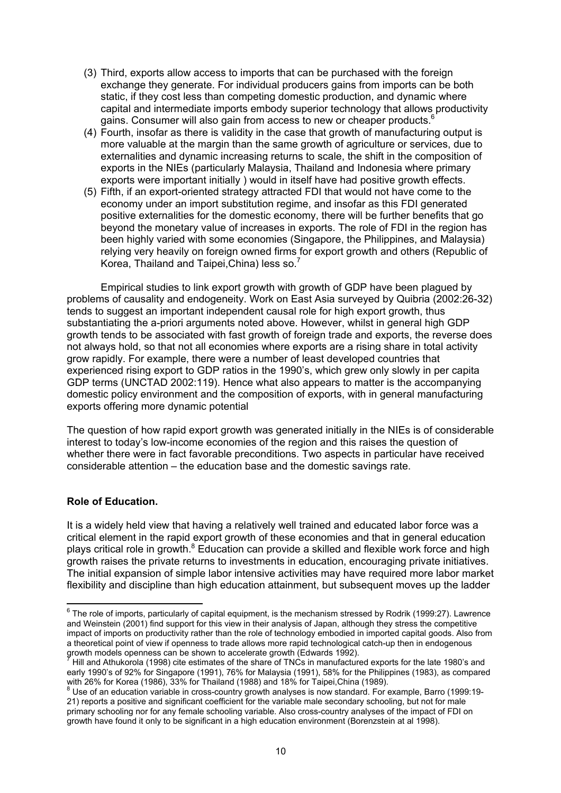- (3) Third, exports allow access to imports that can be purchased with the foreign exchange they generate. For individual producers gains from imports can be both static, if they cost less than competing domestic production, and dynamic where capital and intermediate imports embody superior technology that allows productivity gains. Consumer will also gain from access to new or cheaper products.<sup>6</sup>
- (4) Fourth, insofar as there is validity in the case that growth of manufacturing output is more valuable at the margin than the same growth of agriculture or services, due to externalities and dynamic increasing returns to scale, the shift in the composition of exports in the NIEs (particularly Malaysia, Thailand and Indonesia where primary exports were important initially ) would in itself have had positive growth effects.
- (5) Fifth, if an export-oriented strategy attracted FDI that would not have come to the economy under an import substitution regime, and insofar as this FDI generated positive externalities for the domestic economy, there will be further benefits that go beyond the monetary value of increases in exports. The role of FDI in the region has been highly varied with some economies (Singapore, the Philippines, and Malaysia) relying very heavily on foreign owned firms for export growth and others (Republic of Korea, Thailand and Taipei, China) less so.<sup>7</sup>

Empirical studies to link export growth with growth of GDP have been plagued by problems of causality and endogeneity. Work on East Asia surveyed by Quibria (2002:26-32) tends to suggest an important independent causal role for high export growth, thus substantiating the a-priori arguments noted above. However, whilst in general high GDP growth tends to be associated with fast growth of foreign trade and exports, the reverse does not always hold, so that not all economies where exports are a rising share in total activity grow rapidly. For example, there were a number of least developed countries that experienced rising export to GDP ratios in the 1990's, which grew only slowly in per capita GDP terms (UNCTAD 2002:119). Hence what also appears to matter is the accompanying domestic policy environment and the composition of exports, with in general manufacturing exports offering more dynamic potential

The question of how rapid export growth was generated initially in the NIEs is of considerable interest to today's low-income economies of the region and this raises the question of whether there were in fact favorable preconditions. Two aspects in particular have received considerable attention – the education base and the domestic savings rate.

# **Role of Education.**

It is a widely held view that having a relatively well trained and educated labor force was a critical element in the rapid export growth of these economies and that in general education plays critical role in growth.<sup>8</sup> Education can provide a skilled and flexible work force and high growth raises the private returns to investments in education, encouraging private initiatives. The initial expansion of simple labor intensive activities may have required more labor market flexibility and discipline than high education attainment, but subsequent moves up the ladder

 6 The role of imports, particularly of capital equipment, is the mechanism stressed by Rodrik (1999:27). Lawrence and Weinstein (2001) find support for this view in their analysis of Japan, although they stress the competitive impact of imports on productivity rather than the role of technology embodied in imported capital goods. Also from a theoretical point of view if openness to trade allows more rapid technological catch-up then in endogenous growth models openness can be shown to accelerate growth (Edwards 1992).<br>(Hill and Athukarels (1998) eite ostimates of the share of TNCs in manufasture

Hill and Athukorola (1998) cite estimates of the share of TNCs in manufactured exports for the late 1980's and early 1990's of 92% for Singapore (1991), 76% for Malaysia (1991), 58% for the Philippines (1983), as compared with 26% for Korea (1986), 33% for Thailand (1988) and 18% for Taipei,China (1989).

<sup>&</sup>lt;sup>8</sup> Use of an education variable in cross-country growth analyses is now standard. For example, Barro (1999:19-21) reports a positive and significant coefficient for the variable male secondary schooling, but not for male primary schooling nor for any female schooling variable. Also cross-country analyses of the impact of FDI on growth have found it only to be significant in a high education environment (Borenzstein at al 1998).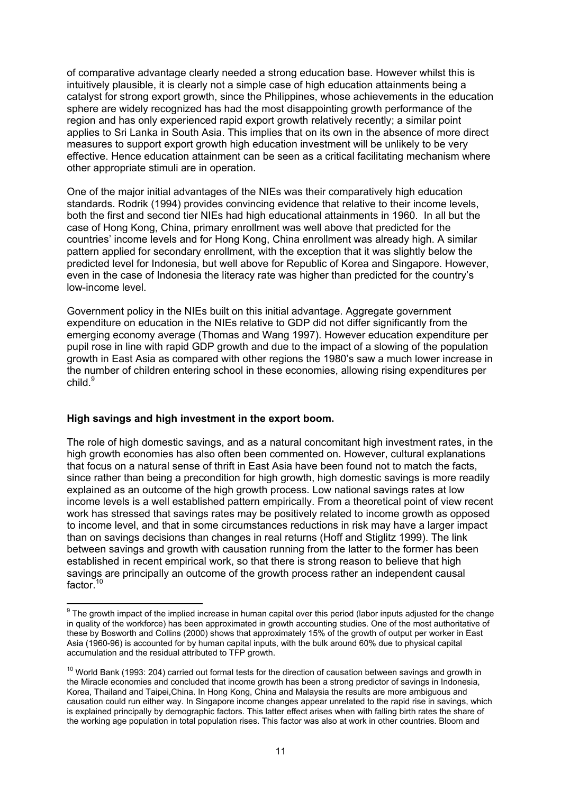of comparative advantage clearly needed a strong education base. However whilst this is intuitively plausible, it is clearly not a simple case of high education attainments being a catalyst for strong export growth, since the Philippines, whose achievements in the education sphere are widely recognized has had the most disappointing growth performance of the region and has only experienced rapid export growth relatively recently; a similar point applies to Sri Lanka in South Asia. This implies that on its own in the absence of more direct measures to support export growth high education investment will be unlikely to be very effective. Hence education attainment can be seen as a critical facilitating mechanism where other appropriate stimuli are in operation.

One of the major initial advantages of the NIEs was their comparatively high education standards. Rodrik (1994) provides convincing evidence that relative to their income levels, both the first and second tier NIEs had high educational attainments in 1960. In all but the case of Hong Kong, China, primary enrollment was well above that predicted for the countries' income levels and for Hong Kong, China enrollment was already high. A similar pattern applied for secondary enrollment, with the exception that it was slightly below the predicted level for Indonesia, but well above for Republic of Korea and Singapore. However, even in the case of Indonesia the literacy rate was higher than predicted for the country's low-income level.

Government policy in the NIEs built on this initial advantage. Aggregate government expenditure on education in the NIEs relative to GDP did not differ significantly from the emerging economy average (Thomas and Wang 1997). However education expenditure per pupil rose in line with rapid GDP growth and due to the impact of a slowing of the population growth in East Asia as compared with other regions the 1980's saw a much lower increase in the number of children entering school in these economies, allowing rising expenditures per child.<sup>9</sup>

# **High savings and high investment in the export boom.**

The role of high domestic savings, and as a natural concomitant high investment rates, in the high growth economies has also often been commented on. However, cultural explanations that focus on a natural sense of thrift in East Asia have been found not to match the facts, since rather than being a precondition for high growth, high domestic savings is more readily explained as an outcome of the high growth process. Low national savings rates at low income levels is a well established pattern empirically. From a theoretical point of view recent work has stressed that savings rates may be positively related to income growth as opposed to income level, and that in some circumstances reductions in risk may have a larger impact than on savings decisions than changes in real returns (Hoff and Stiglitz 1999). The link between savings and growth with causation running from the latter to the former has been established in recent empirical work, so that there is strong reason to believe that high savings are principally an outcome of the growth process rather an independent causal factor.<sup>10</sup>

<sup>&</sup>lt;u>ed to me mond the implied increase in human capital over this period (labor inputs adjusted for the change sore</u><br>The growth impact of the implied increase in human capital over this period (labor inputs adjusted for the c in quality of the workforce) has been approximated in growth accounting studies. One of the most authoritative of these by Bosworth and Collins (2000) shows that approximately 15% of the growth of output per worker in East Asia (1960-96) is accounted for by human capital inputs, with the bulk around 60% due to physical capital accumulation and the residual attributed to TFP growth.

 $10$  World Bank (1993: 204) carried out formal tests for the direction of causation between savings and growth in the Miracle economies and concluded that income growth has been a strong predictor of savings in Indonesia, Korea, Thailand and Taipei,China. In Hong Kong, China and Malaysia the results are more ambiguous and causation could run either way. In Singapore income changes appear unrelated to the rapid rise in savings, which is explained principally by demographic factors. This latter effect arises when with falling birth rates the share of the working age population in total population rises. This factor was also at work in other countries. Bloom and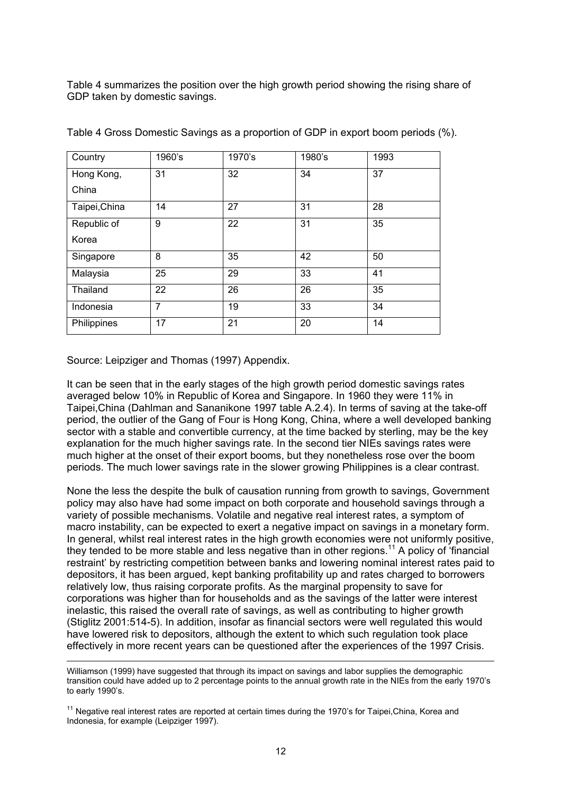Table 4 summarizes the position over the high growth period showing the rising share of GDP taken by domestic savings.

| Country       | 1960's         | 1970's | 1980's | 1993 |
|---------------|----------------|--------|--------|------|
| Hong Kong,    | 31             | 32     | 34     | 37   |
| China         |                |        |        |      |
| Taipei, China | 14             | 27     | 31     | 28   |
| Republic of   | 9              | 22     | 31     | 35   |
| Korea         |                |        |        |      |
| Singapore     | 8              | 35     | 42     | 50   |
| Malaysia      | 25             | 29     | 33     | 41   |
| Thailand      | 22             | 26     | 26     | 35   |
| Indonesia     | $\overline{7}$ | 19     | 33     | 34   |
| Philippines   | 17             | 21     | 20     | 14   |

Table 4 Gross Domestic Savings as a proportion of GDP in export boom periods (%).

Source: Leipziger and Thomas (1997) Appendix.

 $\overline{a}$ 

It can be seen that in the early stages of the high growth period domestic savings rates averaged below 10% in Republic of Korea and Singapore. In 1960 they were 11% in Taipei,China (Dahlman and Sananikone 1997 table A.2.4). In terms of saving at the take-off period, the outlier of the Gang of Four is Hong Kong, China, where a well developed banking sector with a stable and convertible currency, at the time backed by sterling, may be the key explanation for the much higher savings rate. In the second tier NIEs savings rates were much higher at the onset of their export booms, but they nonetheless rose over the boom periods. The much lower savings rate in the slower growing Philippines is a clear contrast.

None the less the despite the bulk of causation running from growth to savings, Government policy may also have had some impact on both corporate and household savings through a variety of possible mechanisms. Volatile and negative real interest rates, a symptom of macro instability, can be expected to exert a negative impact on savings in a monetary form. In general, whilst real interest rates in the high growth economies were not uniformly positive, they tended to be more stable and less negative than in other regions.<sup>11</sup> A policy of 'financial' restraint' by restricting competition between banks and lowering nominal interest rates paid to depositors, it has been argued, kept banking profitability up and rates charged to borrowers relatively low, thus raising corporate profits. As the marginal propensity to save for corporations was higher than for households and as the savings of the latter were interest inelastic, this raised the overall rate of savings, as well as contributing to higher growth (Stiglitz 2001:514-5). In addition, insofar as financial sectors were well regulated this would have lowered risk to depositors, although the extent to which such regulation took place effectively in more recent years can be questioned after the experiences of the 1997 Crisis.

Williamson (1999) have suggested that through its impact on savings and labor supplies the demographic transition could have added up to 2 percentage points to the annual growth rate in the NIEs from the early 1970's to early 1990's.

 $11$  Negative real interest rates are reported at certain times during the 1970's for Taipei, China, Korea and Indonesia, for example (Leipziger 1997).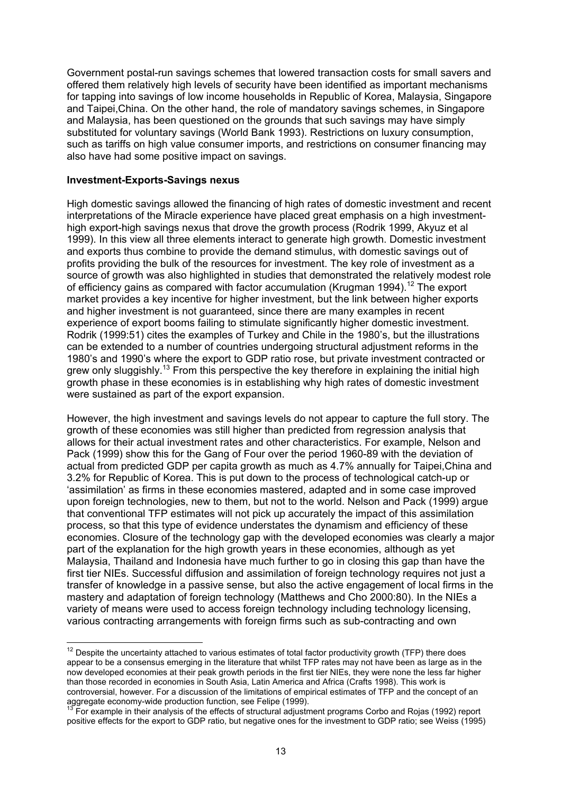Government postal-run savings schemes that lowered transaction costs for small savers and offered them relatively high levels of security have been identified as important mechanisms for tapping into savings of low income households in Republic of Korea, Malaysia, Singapore and Taipei,China. On the other hand, the role of mandatory savings schemes, in Singapore and Malaysia, has been questioned on the grounds that such savings may have simply substituted for voluntary savings (World Bank 1993). Restrictions on luxury consumption, such as tariffs on high value consumer imports, and restrictions on consumer financing may also have had some positive impact on savings.

#### **Investment-Exports-Savings nexus**

 $\overline{a}$ 

High domestic savings allowed the financing of high rates of domestic investment and recent interpretations of the Miracle experience have placed great emphasis on a high investmenthigh export-high savings nexus that drove the growth process (Rodrik 1999, Akyuz et al 1999). In this view all three elements interact to generate high growth. Domestic investment and exports thus combine to provide the demand stimulus, with domestic savings out of profits providing the bulk of the resources for investment. The key role of investment as a source of growth was also highlighted in studies that demonstrated the relatively modest role of efficiency gains as compared with factor accumulation (Krugman 1994).<sup>12</sup> The export market provides a key incentive for higher investment, but the link between higher exports and higher investment is not guaranteed, since there are many examples in recent experience of export booms failing to stimulate significantly higher domestic investment. Rodrik (1999:51) cites the examples of Turkey and Chile in the 1980's, but the illustrations can be extended to a number of countries undergoing structural adjustment reforms in the 1980's and 1990's where the export to GDP ratio rose, but private investment contracted or grew only sluggishly.<sup>13</sup> From this perspective the key therefore in explaining the initial high growth phase in these economies is in establishing why high rates of domestic investment were sustained as part of the export expansion.

However, the high investment and savings levels do not appear to capture the full story. The growth of these economies was still higher than predicted from regression analysis that allows for their actual investment rates and other characteristics. For example, Nelson and Pack (1999) show this for the Gang of Four over the period 1960-89 with the deviation of actual from predicted GDP per capita growth as much as 4.7% annually for Taipei,China and 3.2% for Republic of Korea. This is put down to the process of technological catch-up or 'assimilation' as firms in these economies mastered, adapted and in some case improved upon foreign technologies, new to them, but not to the world. Nelson and Pack (1999) argue that conventional TFP estimates will not pick up accurately the impact of this assimilation process, so that this type of evidence understates the dynamism and efficiency of these economies. Closure of the technology gap with the developed economies was clearly a major part of the explanation for the high growth years in these economies, although as yet Malaysia, Thailand and Indonesia have much further to go in closing this gap than have the first tier NIEs. Successful diffusion and assimilation of foreign technology requires not just a transfer of knowledge in a passive sense, but also the active engagement of local firms in the mastery and adaptation of foreign technology (Matthews and Cho 2000:80). In the NIEs a variety of means were used to access foreign technology including technology licensing, various contracting arrangements with foreign firms such as sub-contracting and own

 $12$  Despite the uncertainty attached to various estimates of total factor productivity growth (TFP) there does appear to be a consensus emerging in the literature that whilst TFP rates may not have been as large as in the now developed economies at their peak growth periods in the first tier NIEs, they were none the less far higher than those recorded in economies in South Asia, Latin America and Africa (Crafts 1998). This work is controversial, however. For a discussion of the limitations of empirical estimates of TFP and the concept of an aggregate economy-wide production function, see Felipe (1999).

For example in their analysis of the effects of structural adjustment programs Corbo and Rojas (1992) report positive effects for the export to GDP ratio, but negative ones for the investment to GDP ratio; see Weiss (1995)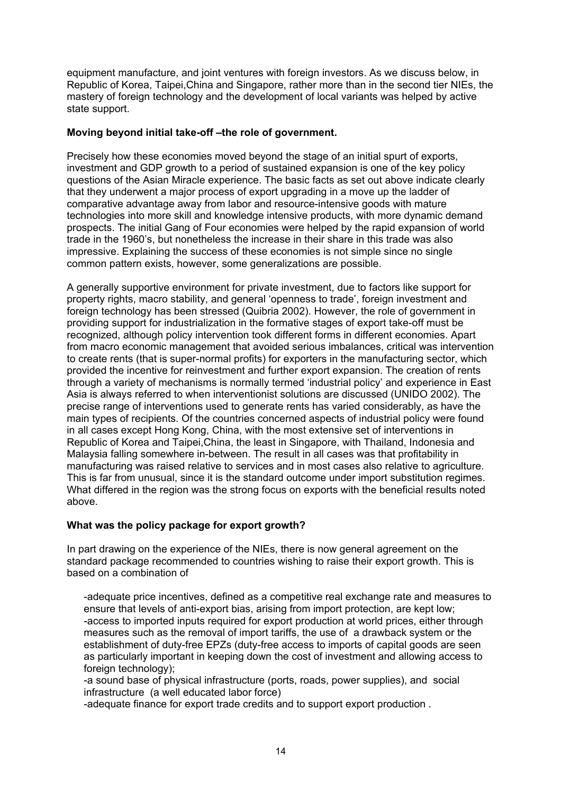equipment manufacture, and joint ventures with foreign investors. As we discuss below, in Republic of Korea, Taipei,China and Singapore, rather more than in the second tier NIEs, the mastery of foreign technology and the development of local variants was helped by active state support.

# **Moving beyond initial take-off –the role of government.**

Precisely how these economies moved beyond the stage of an initial spurt of exports, investment and GDP growth to a period of sustained expansion is one of the key policy questions of the Asian Miracle experience. The basic facts as set out above indicate clearly that they underwent a major process of export upgrading in a move up the ladder of comparative advantage away from labor and resource-intensive goods with mature technologies into more skill and knowledge intensive products, with more dynamic demand prospects. The initial Gang of Four economies were helped by the rapid expansion of world trade in the 1960's, but nonetheless the increase in their share in this trade was also impressive. Explaining the success of these economies is not simple since no single common pattern exists, however, some generalizations are possible.

A generally supportive environment for private investment, due to factors like support for property rights, macro stability, and general 'openness to trade', foreign investment and foreign technology has been stressed (Quibria 2002). However, the role of government in providing support for industrialization in the formative stages of export take-off must be recognized, although policy intervention took different forms in different economies. Apart from macro economic management that avoided serious imbalances, critical was intervention to create rents (that is super-normal profits) for exporters in the manufacturing sector, which provided the incentive for reinvestment and further export expansion. The creation of rents through a variety of mechanisms is normally termed 'industrial policy' and experience in East Asia is always referred to when interventionist solutions are discussed (UNIDO 2002). The precise range of interventions used to generate rents has varied considerably, as have the main types of recipients. Of the countries concerned aspects of industrial policy were found in all cases except Hong Kong, China, with the most extensive set of interventions in Republic of Korea and Taipei,China, the least in Singapore, with Thailand, Indonesia and Malaysia falling somewhere in-between. The result in all cases was that profitability in manufacturing was raised relative to services and in most cases also relative to agriculture. This is far from unusual, since it is the standard outcome under import substitution regimes. What differed in the region was the strong focus on exports with the beneficial results noted above.

# **What was the policy package for export growth?**

In part drawing on the experience of the NIEs, there is now general agreement on the standard package recommended to countries wishing to raise their export growth. This is based on a combination of

-adequate price incentives, defined as a competitive real exchange rate and measures to ensure that levels of anti-export bias, arising from import protection, are kept low; -access to imported inputs required for export production at world prices, either through measures such as the removal of import tariffs, the use of a drawback system or the establishment of duty-free EPZs (duty-free access to imports of capital goods are seen as particularly important in keeping down the cost of investment and allowing access to foreign technology);

-a sound base of physical infrastructure (ports, roads, power supplies), and social infrastructure (a well educated labor force)

-adequate finance for export trade credits and to support export production .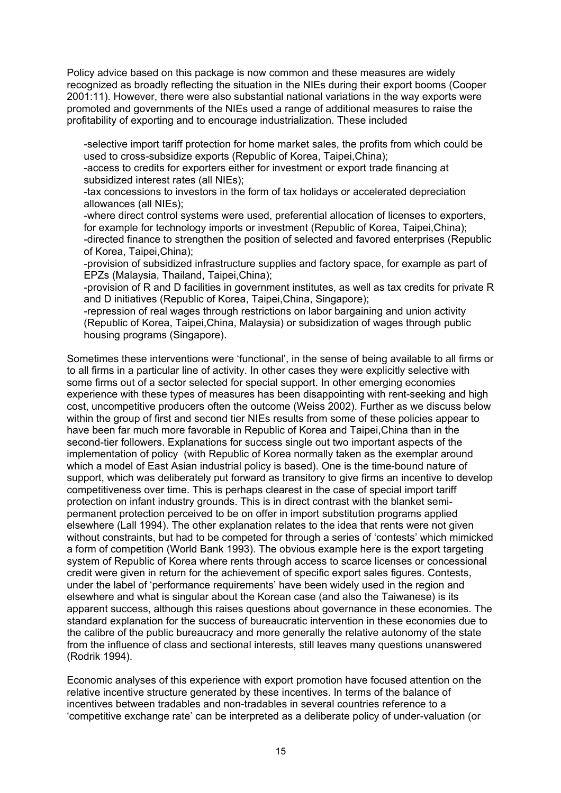Policy advice based on this package is now common and these measures are widely recognized as broadly reflecting the situation in the NIEs during their export booms (Cooper 2001:11). However, there were also substantial national variations in the way exports were promoted and governments of the NIEs used a range of additional measures to raise the profitability of exporting and to encourage industrialization. These included

-selective import tariff protection for home market sales, the profits from which could be used to cross-subsidize exports (Republic of Korea, Taipei,China);

-access to credits for exporters either for investment or export trade financing at subsidized interest rates (all NIEs);

-tax concessions to investors in the form of tax holidays or accelerated depreciation allowances (all NIEs);

-where direct control systems were used, preferential allocation of licenses to exporters, for example for technology imports or investment (Republic of Korea, Taipei,China); -directed finance to strengthen the position of selected and favored enterprises (Republic of Korea, Taipei,China);

-provision of subsidized infrastructure supplies and factory space, for example as part of EPZs (Malaysia, Thailand, Taipei,China);

-provision of R and D facilities in government institutes, as well as tax credits for private R and D initiatives (Republic of Korea, Taipei,China, Singapore);

-repression of real wages through restrictions on labor bargaining and union activity (Republic of Korea, Taipei,China, Malaysia) or subsidization of wages through public housing programs (Singapore).

Sometimes these interventions were 'functional', in the sense of being available to all firms or to all firms in a particular line of activity. In other cases they were explicitly selective with some firms out of a sector selected for special support. In other emerging economies experience with these types of measures has been disappointing with rent-seeking and high cost, uncompetitive producers often the outcome (Weiss 2002). Further as we discuss below within the group of first and second tier NIEs results from some of these policies appear to have been far much more favorable in Republic of Korea and Taipei,China than in the second-tier followers. Explanations for success single out two important aspects of the implementation of policy (with Republic of Korea normally taken as the exemplar around which a model of East Asian industrial policy is based). One is the time-bound nature of support, which was deliberately put forward as transitory to give firms an incentive to develop competitiveness over time. This is perhaps clearest in the case of special import tariff protection on infant industry grounds. This is in direct contrast with the blanket semipermanent protection perceived to be on offer in import substitution programs applied elsewhere (Lall 1994). The other explanation relates to the idea that rents were not given without constraints, but had to be competed for through a series of 'contests' which mimicked a form of competition (World Bank 1993). The obvious example here is the export targeting system of Republic of Korea where rents through access to scarce licenses or concessional credit were given in return for the achievement of specific export sales figures. Contests, under the label of 'performance requirements' have been widely used in the region and elsewhere and what is singular about the Korean case (and also the Taiwanese) is its apparent success, although this raises questions about governance in these economies. The standard explanation for the success of bureaucratic intervention in these economies due to the calibre of the public bureaucracy and more generally the relative autonomy of the state from the influence of class and sectional interests, still leaves many questions unanswered (Rodrik 1994).

Economic analyses of this experience with export promotion have focused attention on the relative incentive structure generated by these incentives. In terms of the balance of incentives between tradables and non-tradables in several countries reference to a 'competitive exchange rate' can be interpreted as a deliberate policy of under-valuation (or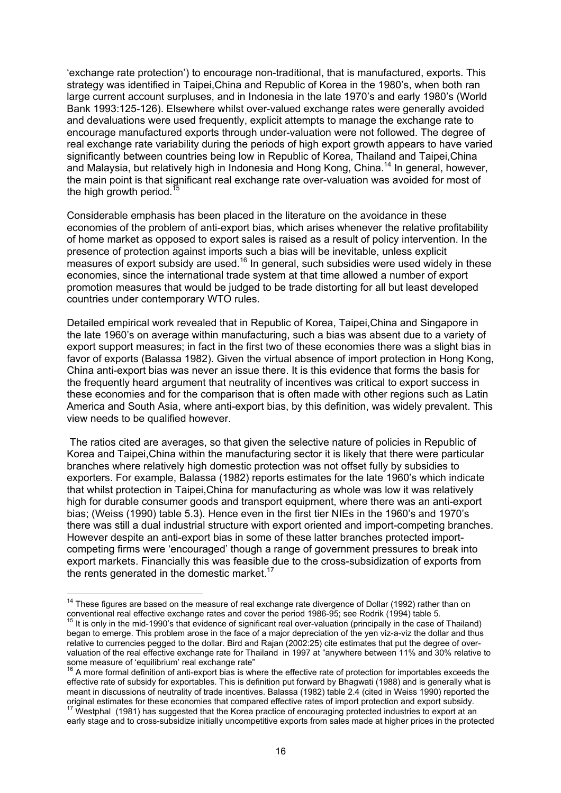'exchange rate protection') to encourage non-traditional, that is manufactured, exports. This strategy was identified in Taipei,China and Republic of Korea in the 1980's, when both ran large current account surpluses, and in Indonesia in the late 1970's and early 1980's (World Bank 1993:125-126). Elsewhere whilst over-valued exchange rates were generally avoided and devaluations were used frequently, explicit attempts to manage the exchange rate to encourage manufactured exports through under-valuation were not followed. The degree of real exchange rate variability during the periods of high export growth appears to have varied significantly between countries being low in Republic of Korea, Thailand and Taipei,China and Malaysia, but relatively high in Indonesia and Hong Kong, China.<sup>14</sup> In general, however, the main point is that significant real exchange rate over-valuation was avoided for most of the high growth period.<sup>1</sup>

Considerable emphasis has been placed in the literature on the avoidance in these economies of the problem of anti-export bias, which arises whenever the relative profitability of home market as opposed to export sales is raised as a result of policy intervention. In the presence of protection against imports such a bias will be inevitable, unless explicit measures of export subsidy are used.<sup>16</sup> In general, such subsidies were used widely in these economies, since the international trade system at that time allowed a number of export promotion measures that would be judged to be trade distorting for all but least developed countries under contemporary WTO rules.

Detailed empirical work revealed that in Republic of Korea, Taipei,China and Singapore in the late 1960's on average within manufacturing, such a bias was absent due to a variety of export support measures; in fact in the first two of these economies there was a slight bias in favor of exports (Balassa 1982). Given the virtual absence of import protection in Hong Kong, China anti-export bias was never an issue there. It is this evidence that forms the basis for the frequently heard argument that neutrality of incentives was critical to export success in these economies and for the comparison that is often made with other regions such as Latin America and South Asia, where anti-export bias, by this definition, was widely prevalent. This view needs to be qualified however.

 The ratios cited are averages, so that given the selective nature of policies in Republic of Korea and Taipei,China within the manufacturing sector it is likely that there were particular branches where relatively high domestic protection was not offset fully by subsidies to exporters. For example, Balassa (1982) reports estimates for the late 1960's which indicate that whilst protection in Taipei,China for manufacturing as whole was low it was relatively high for durable consumer goods and transport equipment, where there was an anti-export bias; (Weiss (1990) table 5.3). Hence even in the first tier NIEs in the 1960's and 1970's there was still a dual industrial structure with export oriented and import-competing branches. However despite an anti-export bias in some of these latter branches protected importcompeting firms were 'encouraged' though a range of government pressures to break into export markets. Financially this was feasible due to the cross-subsidization of exports from the rents generated in the domestic market.<sup>17</sup>

<sup>&</sup>lt;sup>14</sup> These figures are based on the measure of real exchange rate divergence of Dollar (1992) rather than on conventional real effective exchange rates and cover the period 1986-95; see Rodrik (1994) table 5.<br><sup>15</sup> It is only in the mid-1990's that evidence of significant real over-valuation (principally in the case of Thailand)

began to emerge. This problem arose in the face of a major depreciation of the yen viz-a-viz the dollar and thus relative to currencies pegged to the dollar. Bird and Rajan (2002:25) cite estimates that put the degree of overvaluation of the real effective exchange rate for Thailand in 1997 at "anywhere between 11% and 30% relative to some measure of 'equilibrium' real exchange rate"

 $\dot{a}$  A more formal definition of anti-export bias is where the effective rate of protection for importables exceeds the effective rate of subsidy for exportables. This is definition put forward by Bhagwati (1988) and is generally what is meant in discussions of neutrality of trade incentives. Balassa (1982) table 2.4 (cited in Weiss 1990) reported the original estimates for these economies that compared effective rates of import protection and export subsidy. 17 Westphal (1981) has suggested that the Korea practice of encouraging protected industries to export at an

early stage and to cross-subsidize initially uncompetitive exports from sales made at higher prices in the protected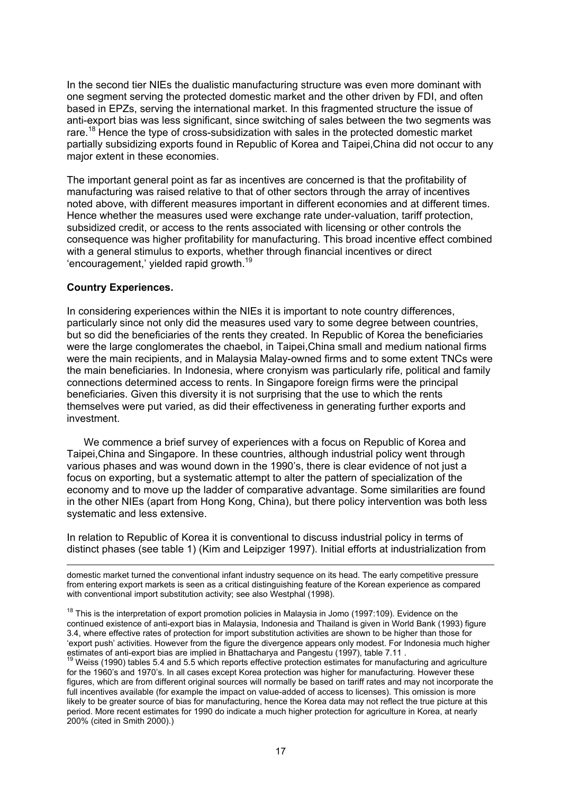In the second tier NIEs the dualistic manufacturing structure was even more dominant with one segment serving the protected domestic market and the other driven by FDI, and often based in EPZs, serving the international market. In this fragmented structure the issue of anti-export bias was less significant, since switching of sales between the two segments was rare.<sup>18</sup> Hence the type of cross-subsidization with sales in the protected domestic market partially subsidizing exports found in Republic of Korea and Taipei,China did not occur to any major extent in these economies.

The important general point as far as incentives are concerned is that the profitability of manufacturing was raised relative to that of other sectors through the array of incentives noted above, with different measures important in different economies and at different times. Hence whether the measures used were exchange rate under-valuation, tariff protection, subsidized credit, or access to the rents associated with licensing or other controls the consequence was higher profitability for manufacturing. This broad incentive effect combined with a general stimulus to exports, whether through financial incentives or direct 'encouragement,' yielded rapid growth.<sup>19</sup>

# **Country Experiences.**

In considering experiences within the NIEs it is important to note country differences, particularly since not only did the measures used vary to some degree between countries, but so did the beneficiaries of the rents they created. In Republic of Korea the beneficiaries were the large conglomerates the chaebol, in Taipei,China small and medium national firms were the main recipients, and in Malaysia Malay-owned firms and to some extent TNCs were the main beneficiaries. In Indonesia, where cronyism was particularly rife, political and family connections determined access to rents. In Singapore foreign firms were the principal beneficiaries. Given this diversity it is not surprising that the use to which the rents themselves were put varied, as did their effectiveness in generating further exports and investment.

We commence a brief survey of experiences with a focus on Republic of Korea and Taipei,China and Singapore. In these countries, although industrial policy went through various phases and was wound down in the 1990's, there is clear evidence of not just a focus on exporting, but a systematic attempt to alter the pattern of specialization of the economy and to move up the ladder of comparative advantage. Some similarities are found in the other NIEs (apart from Hong Kong, China), but there policy intervention was both less systematic and less extensive.

In relation to Republic of Korea it is conventional to discuss industrial policy in terms of distinct phases (see table 1) (Kim and Leipziger 1997). Initial efforts at industrialization from

 $\overline{a}$ domestic market turned the conventional infant industry sequence on its head. The early competitive pressure from entering export markets is seen as a critical distinguishing feature of the Korean experience as compared with conventional import substitution activity; see also Westphal (1998).

 $18$  This is the interpretation of export promotion policies in Malaysia in Jomo (1997:109). Evidence on the continued existence of anti-export bias in Malaysia, Indonesia and Thailand is given in World Bank (1993) figure 3.4, where effective rates of protection for import substitution activities are shown to be higher than those for 'export push' activities. However from the figure the divergence appears only modest. For Indonesia much higher<br>estimates of anti-export bias are implied in Bhattacharya and Pangestu (1997), table 7.11.

 $19$  Weiss (1990) tables 5.4 and 5.5 which reports effective protection estimates for manufacturing and agriculture for the 1960's and 1970's. In all cases except Korea protection was higher for manufacturing. However these figures, which are from different original sources will normally be based on tariff rates and may not incorporate the full incentives available (for example the impact on value-added of access to licenses). This omission is more likely to be greater source of bias for manufacturing, hence the Korea data may not reflect the true picture at this period. More recent estimates for 1990 do indicate a much higher protection for agriculture in Korea, at nearly 200% (cited in Smith 2000).)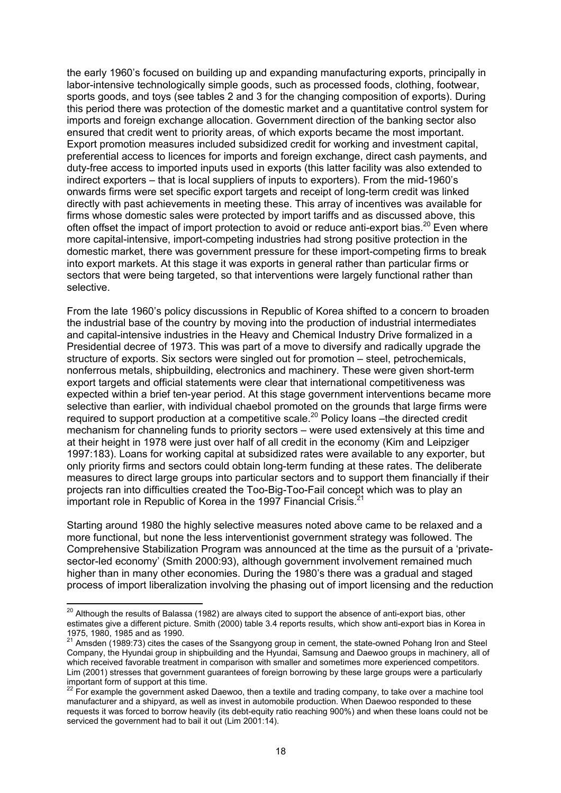the early 1960's focused on building up and expanding manufacturing exports, principally in labor-intensive technologically simple goods, such as processed foods, clothing, footwear, sports goods, and toys (see tables 2 and 3 for the changing composition of exports). During this period there was protection of the domestic market and a quantitative control system for imports and foreign exchange allocation. Government direction of the banking sector also ensured that credit went to priority areas, of which exports became the most important. Export promotion measures included subsidized credit for working and investment capital, preferential access to licences for imports and foreign exchange, direct cash payments, and duty-free access to imported inputs used in exports (this latter facility was also extended to indirect exporters – that is local suppliers of inputs to exporters). From the mid-1960's onwards firms were set specific export targets and receipt of long-term credit was linked directly with past achievements in meeting these. This array of incentives was available for firms whose domestic sales were protected by import tariffs and as discussed above, this often offset the impact of import protection to avoid or reduce anti-export bias.<sup>20</sup> Even where more capital-intensive, import-competing industries had strong positive protection in the domestic market, there was government pressure for these import-competing firms to break into export markets. At this stage it was exports in general rather than particular firms or sectors that were being targeted, so that interventions were largely functional rather than selective.

From the late 1960's policy discussions in Republic of Korea shifted to a concern to broaden the industrial base of the country by moving into the production of industrial intermediates and capital-intensive industries in the Heavy and Chemical Industry Drive formalized in a Presidential decree of 1973. This was part of a move to diversify and radically upgrade the structure of exports. Six sectors were singled out for promotion – steel, petrochemicals, nonferrous metals, shipbuilding, electronics and machinery. These were given short-term export targets and official statements were clear that international competitiveness was expected within a brief ten-year period. At this stage government interventions became more selective than earlier, with individual chaebol promoted on the grounds that large firms were required to support production at a competitive scale.20 Policy loans –the directed credit mechanism for channeling funds to priority sectors – were used extensively at this time and at their height in 1978 were just over half of all credit in the economy (Kim and Leipziger 1997:183). Loans for working capital at subsidized rates were available to any exporter, but only priority firms and sectors could obtain long-term funding at these rates. The deliberate measures to direct large groups into particular sectors and to support them financially if their projects ran into difficulties created the Too-Big-Too-Fail concept which was to play an important role in Republic of Korea in the 1997 Financial Crisis.<sup>21</sup>

Starting around 1980 the highly selective measures noted above came to be relaxed and a more functional, but none the less interventionist government strategy was followed. The Comprehensive Stabilization Program was announced at the time as the pursuit of a 'privatesector-led economy' (Smith 2000:93), although government involvement remained much higher than in many other economies. During the 1980's there was a gradual and staged process of import liberalization involving the phasing out of import licensing and the reduction

 $^{20}$  Although the results of Balassa (1982) are always cited to support the absence of anti-export bias, other estimates give a different picture. Smith (2000) table 3.4 reports results, which show anti-export bias in Korea in 1975, 1980, 1985 and as 1990.

 $^{21}$  Amsden (1989:73) cites the cases of the Ssangyong group in cement, the state-owned Pohang Iron and Steel Company, the Hyundai group in shipbuilding and the Hyundai, Samsung and Daewoo groups in machinery, all of which received favorable treatment in comparison with smaller and sometimes more experienced competitors. Lim (2001) stresses that government guarantees of foreign borrowing by these large groups were a particularly important form of support at this time.

<sup>&</sup>lt;sup>22</sup> For example the government asked Daewoo, then a textile and trading company, to take over a machine tool manufacturer and a shipyard, as well as invest in automobile production. When Daewoo responded to these requests it was forced to borrow heavily (its debt-equity ratio reaching 900%) and when these loans could not be serviced the government had to bail it out (Lim 2001:14).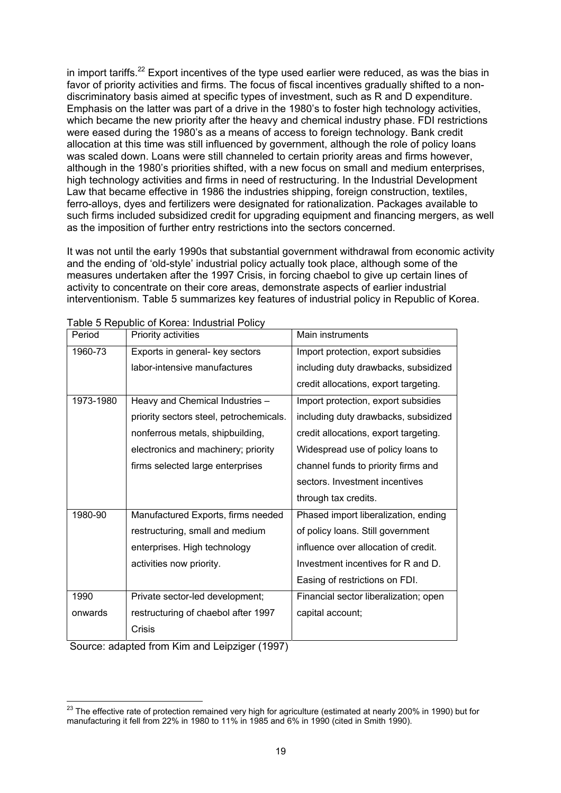in import tariffs.<sup>22</sup> Export incentives of the type used earlier were reduced, as was the bias in favor of priority activities and firms. The focus of fiscal incentives gradually shifted to a nondiscriminatory basis aimed at specific types of investment, such as R and D expenditure. Emphasis on the latter was part of a drive in the 1980's to foster high technology activities, which became the new priority after the heavy and chemical industry phase. FDI restrictions were eased during the 1980's as a means of access to foreign technology. Bank credit allocation at this time was still influenced by government, although the role of policy loans was scaled down. Loans were still channeled to certain priority areas and firms however, although in the 1980's priorities shifted, with a new focus on small and medium enterprises, high technology activities and firms in need of restructuring. In the Industrial Development Law that became effective in 1986 the industries shipping, foreign construction, textiles, ferro-alloys, dyes and fertilizers were designated for rationalization. Packages available to such firms included subsidized credit for upgrading equipment and financing mergers, as well as the imposition of further entry restrictions into the sectors concerned.

It was not until the early 1990s that substantial government withdrawal from economic activity and the ending of 'old-style' industrial policy actually took place, although some of the measures undertaken after the 1997 Crisis, in forcing chaebol to give up certain lines of activity to concentrate on their core areas, demonstrate aspects of earlier industrial interventionism. Table 5 summarizes key features of industrial policy in Republic of Korea.

| Period    | Priority activities                     | Main instruments                      |
|-----------|-----------------------------------------|---------------------------------------|
| 1960-73   | Exports in general- key sectors         | Import protection, export subsidies   |
|           | labor-intensive manufactures            | including duty drawbacks, subsidized  |
|           |                                         | credit allocations, export targeting. |
| 1973-1980 | Heavy and Chemical Industries -         | Import protection, export subsidies   |
|           | priority sectors steel, petrochemicals. | including duty drawbacks, subsidized  |
|           | nonferrous metals, shipbuilding,        | credit allocations, export targeting. |
|           | electronics and machinery; priority     | Widespread use of policy loans to     |
|           | firms selected large enterprises        | channel funds to priority firms and   |
|           |                                         | sectors. Investment incentives        |
|           |                                         | through tax credits.                  |
| 1980-90   | Manufactured Exports, firms needed      | Phased import liberalization, ending  |
|           | restructuring, small and medium         | of policy loans. Still government     |
|           | enterprises. High technology            | influence over allocation of credit.  |
|           | activities now priority.                | Investment incentives for R and D.    |
|           |                                         | Easing of restrictions on FDI.        |
| 1990      | Private sector-led development;         | Financial sector liberalization; open |
| onwards   | restructuring of chaebol after 1997     | capital account;                      |
|           | Crisis                                  |                                       |

Table 5 Republic of Korea: Industrial Policy

Source: adapted from Kim and Leipziger (1997)

 $^{23}$  The effective rate of protection remained very high for agriculture (estimated at nearly 200% in 1990) but for manufacturing it fell from 22% in 1980 to 11% in 1985 and 6% in 1990 (cited in Smith 1990).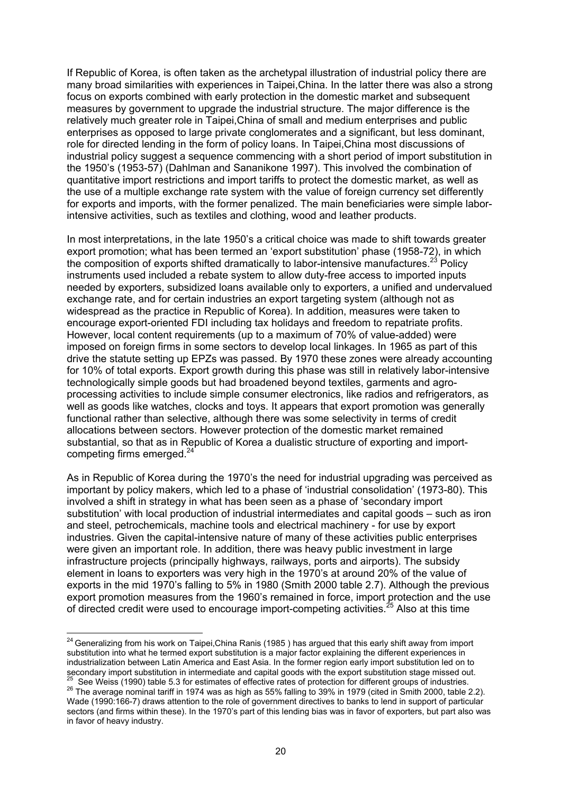If Republic of Korea, is often taken as the archetypal illustration of industrial policy there are many broad similarities with experiences in Taipei,China. In the latter there was also a strong focus on exports combined with early protection in the domestic market and subsequent measures by government to upgrade the industrial structure. The major difference is the relatively much greater role in Taipei,China of small and medium enterprises and public enterprises as opposed to large private conglomerates and a significant, but less dominant, role for directed lending in the form of policy loans. In Taipei,China most discussions of industrial policy suggest a sequence commencing with a short period of import substitution in the 1950's (1953-57) (Dahlman and Sananikone 1997). This involved the combination of quantitative import restrictions and import tariffs to protect the domestic market, as well as the use of a multiple exchange rate system with the value of foreign currency set differently for exports and imports, with the former penalized. The main beneficiaries were simple laborintensive activities, such as textiles and clothing, wood and leather products.

In most interpretations, in the late 1950's a critical choice was made to shift towards greater export promotion; what has been termed an 'export substitution' phase (1958-72), in which the composition of exports shifted dramatically to labor-intensive manufactures. $^{23}$  Policy instruments used included a rebate system to allow duty-free access to imported inputs needed by exporters, subsidized loans available only to exporters, a unified and undervalued exchange rate, and for certain industries an export targeting system (although not as widespread as the practice in Republic of Korea). In addition, measures were taken to encourage export-oriented FDI including tax holidays and freedom to repatriate profits. However, local content requirements (up to a maximum of 70% of value-added) were imposed on foreign firms in some sectors to develop local linkages. In 1965 as part of this drive the statute setting up EPZs was passed. By 1970 these zones were already accounting for 10% of total exports. Export growth during this phase was still in relatively labor-intensive technologically simple goods but had broadened beyond textiles, garments and agroprocessing activities to include simple consumer electronics, like radios and refrigerators, as well as goods like watches, clocks and toys. It appears that export promotion was generally functional rather than selective, although there was some selectivity in terms of credit allocations between sectors. However protection of the domestic market remained substantial, so that as in Republic of Korea a dualistic structure of exporting and importcompeting firms emerged.<sup>24</sup>

As in Republic of Korea during the 1970's the need for industrial upgrading was perceived as important by policy makers, which led to a phase of 'industrial consolidation' (1973-80). This involved a shift in strategy in what has been seen as a phase of 'secondary import substitution' with local production of industrial intermediates and capital goods – such as iron and steel, petrochemicals, machine tools and electrical machinery - for use by export industries. Given the capital-intensive nature of many of these activities public enterprises were given an important role. In addition, there was heavy public investment in large infrastructure projects (principally highways, railways, ports and airports). The subsidy element in loans to exporters was very high in the 1970's at around 20% of the value of exports in the mid 1970's falling to 5% in 1980 (Smith 2000 table 2.7). Although the previous export promotion measures from the 1960's remained in force, import protection and the use of directed credit were used to encourage import-competing activities.<sup>25</sup> Also at this time

 $^{24}$  Generalizing from his work on Taipei,China Ranis (1985) has argued that this early shift away from import substitution into what he termed export substitution is a major factor explaining the different experiences in industrialization between Latin America and East Asia. In the former region early import substitution led on to Secondary import substitution in intermediate and capital goods with the export substitution stage missed out.<br><sup>25</sup> See Weiss (1990) table 5.3 for estimates of effective rates of protection for different groups of industri Wade (1990:166-7) draws attention to the role of government directives to banks to lend in support of particular sectors (and firms within these). In the 1970's part of this lending bias was in favor of exporters, but part also was in favor of heavy industry.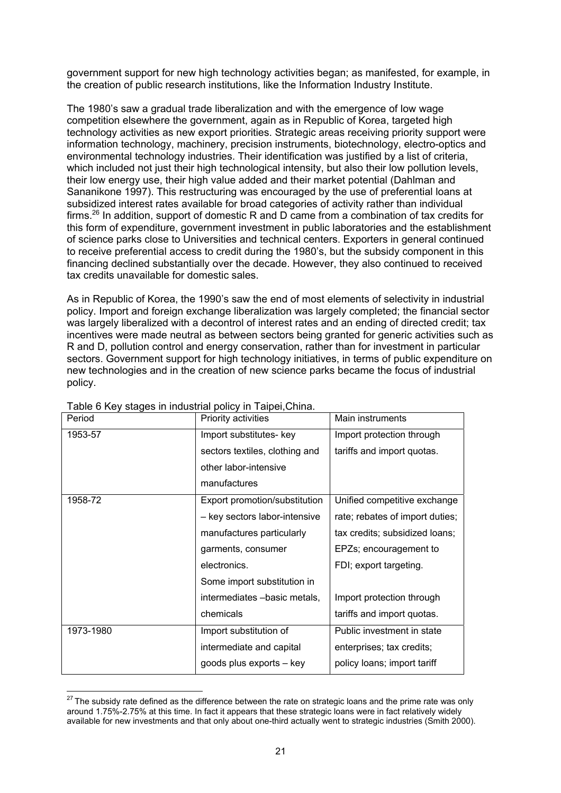government support for new high technology activities began; as manifested, for example, in the creation of public research institutions, like the Information Industry Institute.

The 1980's saw a gradual trade liberalization and with the emergence of low wage competition elsewhere the government, again as in Republic of Korea, targeted high technology activities as new export priorities. Strategic areas receiving priority support were information technology, machinery, precision instruments, biotechnology, electro-optics and environmental technology industries. Their identification was justified by a list of criteria, which included not just their high technological intensity, but also their low pollution levels, their low energy use, their high value added and their market potential (Dahlman and Sananikone 1997). This restructuring was encouraged by the use of preferential loans at subsidized interest rates available for broad categories of activity rather than individual firms.26 In addition, support of domestic R and D came from a combination of tax credits for this form of expenditure, government investment in public laboratories and the establishment of science parks close to Universities and technical centers. Exporters in general continued to receive preferential access to credit during the 1980's, but the subsidy component in this financing declined substantially over the decade. However, they also continued to received tax credits unavailable for domestic sales.

As in Republic of Korea, the 1990's saw the end of most elements of selectivity in industrial policy. Import and foreign exchange liberalization was largely completed; the financial sector was largely liberalized with a decontrol of interest rates and an ending of directed credit; tax incentives were made neutral as between sectors being granted for generic activities such as R and D, pollution control and energy conservation, rather than for investment in particular sectors. Government support for high technology initiatives, in terms of public expenditure on new technologies and in the creation of new science parks became the focus of industrial policy.

| Period    | Priority activities            | Main instruments                |
|-----------|--------------------------------|---------------------------------|
| 1953-57   | Import substitutes- key        | Import protection through       |
|           | sectors textiles, clothing and | tariffs and import quotas.      |
|           | other labor-intensive          |                                 |
|           | manufactures                   |                                 |
| 1958-72   | Export promotion/substitution  | Unified competitive exchange    |
|           | - key sectors labor-intensive  | rate; rebates of import duties; |
|           | manufactures particularly      | tax credits; subsidized loans;  |
|           | garments, consumer             | EPZs; encouragement to          |
|           | electronics.                   | FDI; export targeting.          |
|           | Some import substitution in    |                                 |
|           | intermediates -basic metals,   | Import protection through       |
|           | chemicals                      | tariffs and import quotas.      |
| 1973-1980 | Import substitution of         | Public investment in state      |
|           | intermediate and capital       | enterprises; tax credits;       |
|           | goods plus exports - key       | policy loans; import tariff     |

Table 6 Key stages in industrial policy in Taipei,China.

 $^{27}$  The subsidy rate defined as the difference between the rate on strategic loans and the prime rate was only around 1.75%-2.75% at this time. In fact it appears that these strategic loans were in fact relatively widely available for new investments and that only about one-third actually went to strategic industries (Smith 2000).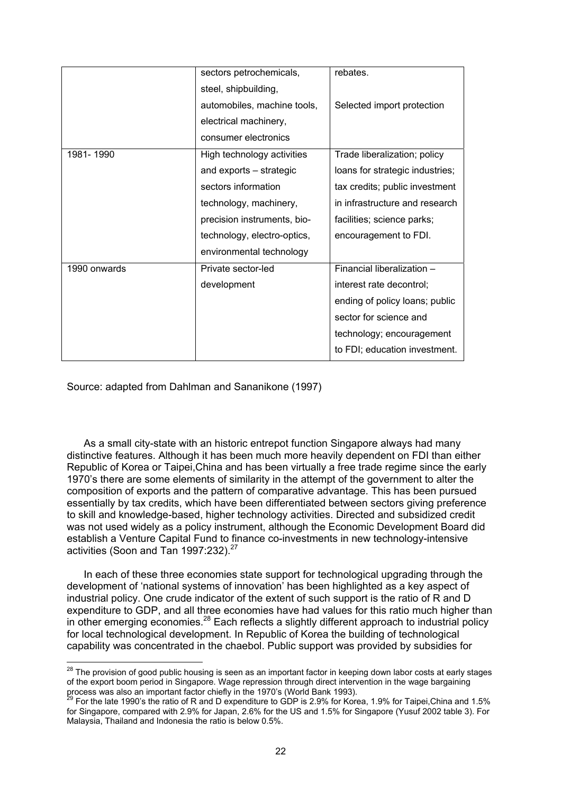|              | sectors petrochemicals,     | rebates.                        |
|--------------|-----------------------------|---------------------------------|
|              | steel, shipbuilding,        |                                 |
|              | automobiles, machine tools, | Selected import protection      |
|              | electrical machinery,       |                                 |
|              | consumer electronics        |                                 |
| 1981-1990    | High technology activities  | Trade liberalization; policy    |
|              | and exports – strategic     | loans for strategic industries; |
|              | sectors information         | tax credits; public investment  |
|              | technology, machinery,      | in infrastructure and research  |
|              | precision instruments, bio- | facilities; science parks;      |
|              | technology, electro-optics, | encouragement to FDI.           |
|              | environmental technology    |                                 |
| 1990 onwards | Private sector-led          | Financial liberalization -      |
|              | development                 | interest rate decontrol;        |
|              |                             | ending of policy loans; public  |
|              |                             | sector for science and          |
|              |                             | technology; encouragement       |
|              |                             | to FDI; education investment.   |

Source: adapted from Dahlman and Sananikone (1997)

 $\overline{a}$ 

As a small city-state with an historic entrepot function Singapore always had many distinctive features. Although it has been much more heavily dependent on FDI than either Republic of Korea or Taipei,China and has been virtually a free trade regime since the early 1970's there are some elements of similarity in the attempt of the government to alter the composition of exports and the pattern of comparative advantage. This has been pursued essentially by tax credits, which have been differentiated between sectors giving preference to skill and knowledge-based, higher technology activities. Directed and subsidized credit was not used widely as a policy instrument, although the Economic Development Board did establish a Venture Capital Fund to finance co-investments in new technology-intensive activities (Soon and Tan 1997:232).<sup>27</sup>

In each of these three economies state support for technological upgrading through the development of 'national systems of innovation' has been highlighted as a key aspect of industrial policy. One crude indicator of the extent of such support is the ratio of R and D expenditure to GDP, and all three economies have had values for this ratio much higher than in other emerging economies.<sup>28</sup> Each reflects a slightly different approach to industrial policy for local technological development. In Republic of Korea the building of technological capability was concentrated in the chaebol. Public support was provided by subsidies for

 $^{28}$  The provision of good public housing is seen as an important factor in keeping down labor costs at early stages of the export boom period in Singapore. Wage repression through direct intervention in the wage bargaining process was also an important factor chiefly in the 1970's (World Bank 1993).

<sup>&</sup>lt;sup>29</sup> For the late 1990's the ratio of R and D expenditure to GDP is 2.9% for Korea, 1.9% for Taipei,China and 1.5% for Singapore, compared with 2.9% for Japan, 2.6% for the US and 1.5% for Singapore (Yusuf 2002 table 3). For Malaysia, Thailand and Indonesia the ratio is below 0.5%.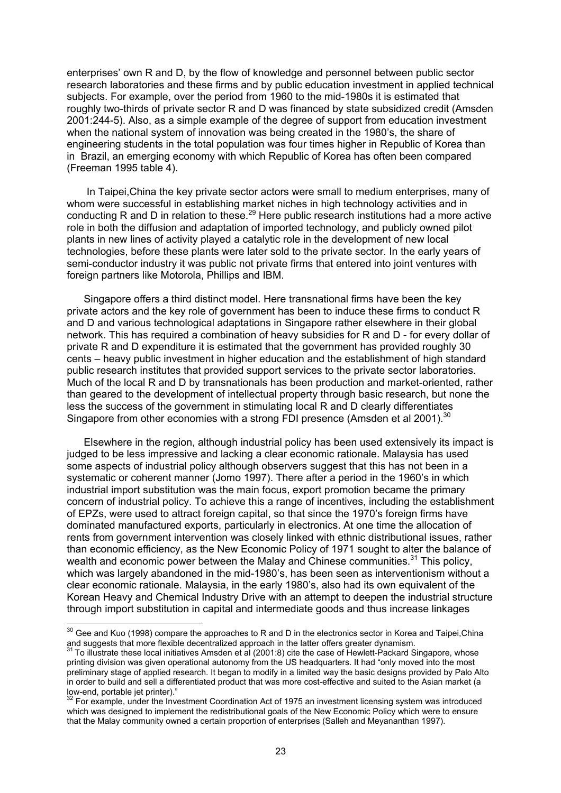enterprises' own R and D, by the flow of knowledge and personnel between public sector research laboratories and these firms and by public education investment in applied technical subjects. For example, over the period from 1960 to the mid-1980s it is estimated that roughly two-thirds of private sector R and D was financed by state subsidized credit (Amsden 2001:244-5). Also, as a simple example of the degree of support from education investment when the national system of innovation was being created in the 1980's, the share of engineering students in the total population was four times higher in Republic of Korea than in Brazil, an emerging economy with which Republic of Korea has often been compared (Freeman 1995 table 4).

 In Taipei,China the key private sector actors were small to medium enterprises, many of whom were successful in establishing market niches in high technology activities and in conducting R and D in relation to these.<sup>29</sup> Here public research institutions had a more active role in both the diffusion and adaptation of imported technology, and publicly owned pilot plants in new lines of activity played a catalytic role in the development of new local technologies, before these plants were later sold to the private sector. In the early years of semi-conductor industry it was public not private firms that entered into joint ventures with foreign partners like Motorola, Phillips and IBM.

Singapore offers a third distinct model. Here transnational firms have been the key private actors and the key role of government has been to induce these firms to conduct R and D and various technological adaptations in Singapore rather elsewhere in their global network. This has required a combination of heavy subsidies for R and D - for every dollar of private R and D expenditure it is estimated that the government has provided roughly 30 cents – heavy public investment in higher education and the establishment of high standard public research institutes that provided support services to the private sector laboratories. Much of the local R and D by transnationals has been production and market-oriented, rather than geared to the development of intellectual property through basic research, but none the less the success of the government in stimulating local R and D clearly differentiates Singapore from other economies with a strong FDI presence (Amsden et al 2001).<sup>30</sup>

Elsewhere in the region, although industrial policy has been used extensively its impact is judged to be less impressive and lacking a clear economic rationale. Malaysia has used some aspects of industrial policy although observers suggest that this has not been in a systematic or coherent manner (Jomo 1997). There after a period in the 1960's in which industrial import substitution was the main focus, export promotion became the primary concern of industrial policy. To achieve this a range of incentives, including the establishment of EPZs, were used to attract foreign capital, so that since the 1970's foreign firms have dominated manufactured exports, particularly in electronics. At one time the allocation of rents from government intervention was closely linked with ethnic distributional issues, rather than economic efficiency, as the New Economic Policy of 1971 sought to alter the balance of wealth and economic power between the Malay and Chinese communities.<sup>31</sup> This policy, which was largely abandoned in the mid-1980's, has been seen as interventionism without a clear economic rationale. Malaysia, in the early 1980's, also had its own equivalent of the Korean Heavy and Chemical Industry Drive with an attempt to deepen the industrial structure through import substitution in capital and intermediate goods and thus increase linkages

 $30$  Gee and Kuo (1998) compare the approaches to R and D in the electronics sector in Korea and Taipei,China and suggests that more flexible decentralized approach in the latter offers greater dynamism.<br><sup>31</sup> To illustrate these local initiatives Amsden et al (2001:8) cite the case of Hewlett-Packard Singapore, whose

printing division was given operational autonomy from the US headquarters. It had "only moved into the most preliminary stage of applied research. It began to modify in a limited way the basic designs provided by Palo Alto in order to build and sell a differentiated product that was more cost-effective and suited to the Asian market (a low-end, portable jet printer)."

<sup>&</sup>lt;sup>32</sup> For example, under the Investment Coordination Act of 1975 an investment licensing system was introduced which was designed to implement the redistributional goals of the New Economic Policy which were to ensure that the Malay community owned a certain proportion of enterprises (Salleh and Meyananthan 1997).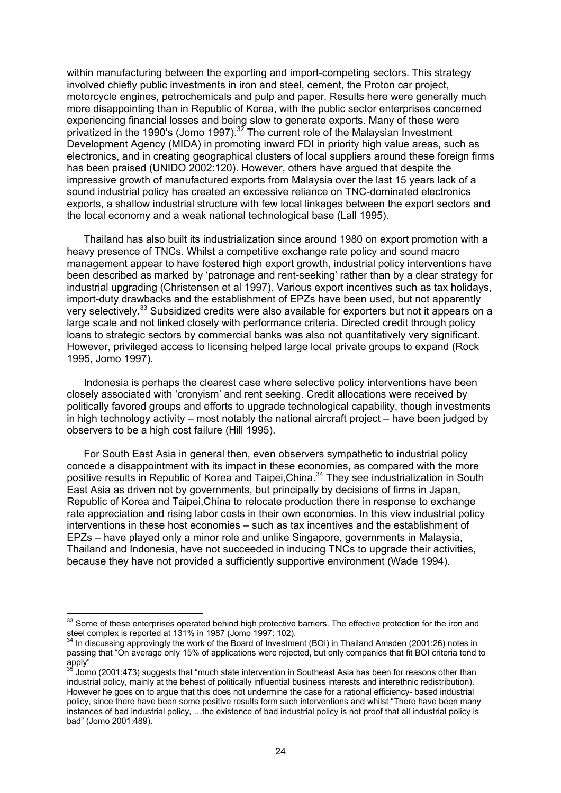within manufacturing between the exporting and import-competing sectors. This strategy involved chiefly public investments in iron and steel, cement, the Proton car project, motorcycle engines, petrochemicals and pulp and paper. Results here were generally much more disappointing than in Republic of Korea, with the public sector enterprises concerned experiencing financial losses and being slow to generate exports. Many of these were privatized in the 1990's (Jomo 1997).32 The current role of the Malaysian Investment Development Agency (MIDA) in promoting inward FDI in priority high value areas, such as electronics, and in creating geographical clusters of local suppliers around these foreign firms has been praised (UNIDO 2002:120). However, others have argued that despite the impressive growth of manufactured exports from Malaysia over the last 15 years lack of a sound industrial policy has created an excessive reliance on TNC-dominated electronics exports, a shallow industrial structure with few local linkages between the export sectors and the local economy and a weak national technological base (Lall 1995).

Thailand has also built its industrialization since around 1980 on export promotion with a heavy presence of TNCs. Whilst a competitive exchange rate policy and sound macro management appear to have fostered high export growth, industrial policy interventions have been described as marked by 'patronage and rent-seeking' rather than by a clear strategy for industrial upgrading (Christensen et al 1997). Various export incentives such as tax holidays, import-duty drawbacks and the establishment of EPZs have been used, but not apparently very selectively.<sup>33</sup> Subsidized credits were also available for exporters but not it appears on a large scale and not linked closely with performance criteria. Directed credit through policy loans to strategic sectors by commercial banks was also not quantitatively very significant. However, privileged access to licensing helped large local private groups to expand (Rock 1995, Jomo 1997).

Indonesia is perhaps the clearest case where selective policy interventions have been closely associated with 'cronyism' and rent seeking. Credit allocations were received by politically favored groups and efforts to upgrade technological capability, though investments in high technology activity – most notably the national aircraft project – have been judged by observers to be a high cost failure (Hill 1995).

For South East Asia in general then, even observers sympathetic to industrial policy concede a disappointment with its impact in these economies, as compared with the more positive results in Republic of Korea and Taipei, China.<sup>34</sup> They see industrialization in South East Asia as driven not by governments, but principally by decisions of firms in Japan, Republic of Korea and Taipei,China to relocate production there in response to exchange rate appreciation and rising labor costs in their own economies. In this view industrial policy interventions in these host economies – such as tax incentives and the establishment of EPZs – have played only a minor role and unlike Singapore, governments in Malaysia, Thailand and Indonesia, have not succeeded in inducing TNCs to upgrade their activities, because they have not provided a sufficiently supportive environment (Wade 1994).

 $33$  Some of these enterprises operated behind high protective barriers. The effective protection for the iron and steel complex is reported at 131% in 1987 (Jomo 1997: 102).

 $34$  In discussing approvingly the work of the Board of Investment (BOI) in Thailand Amsden (2001:26) notes in passing that "On average only 15% of applications were rejected, but only companies that fit BOI criteria tend to apply"

<sup>35</sup> Jomo (2001:473) suggests that "much state intervention in Southeast Asia has been for reasons other than industrial policy, mainly at the behest of politically influential business interests and interethnic redistribution). However he goes on to argue that this does not undermine the case for a rational efficiency- based industrial policy, since there have been some positive results form such interventions and whilst "There have been many instances of bad industrial policy, …the existence of bad industrial policy is not proof that all industrial policy is bad" (Jomo 2001:489).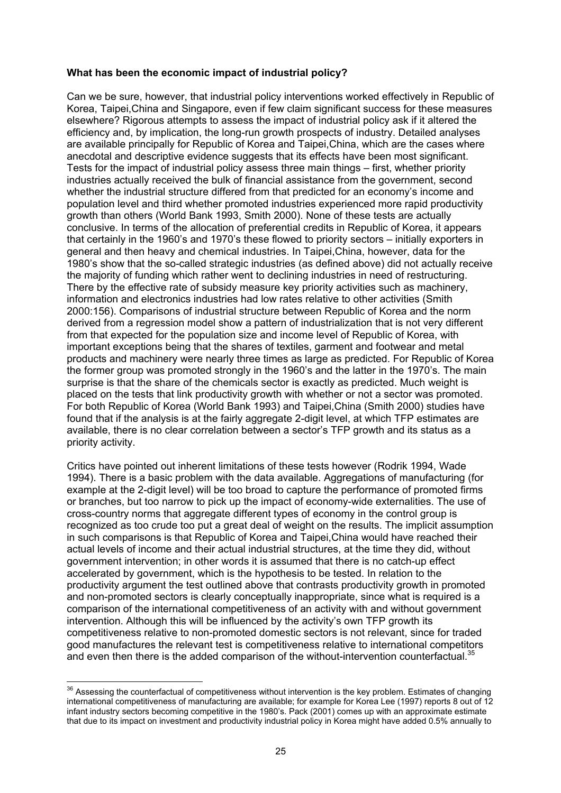# **What has been the economic impact of industrial policy?**

Can we be sure, however, that industrial policy interventions worked effectively in Republic of Korea, Taipei,China and Singapore, even if few claim significant success for these measures elsewhere? Rigorous attempts to assess the impact of industrial policy ask if it altered the efficiency and, by implication, the long-run growth prospects of industry. Detailed analyses are available principally for Republic of Korea and Taipei,China, which are the cases where anecdotal and descriptive evidence suggests that its effects have been most significant. Tests for the impact of industrial policy assess three main things – first, whether priority industries actually received the bulk of financial assistance from the government, second whether the industrial structure differed from that predicted for an economy's income and population level and third whether promoted industries experienced more rapid productivity growth than others (World Bank 1993, Smith 2000). None of these tests are actually conclusive. In terms of the allocation of preferential credits in Republic of Korea, it appears that certainly in the 1960's and 1970's these flowed to priority sectors – initially exporters in general and then heavy and chemical industries. In Taipei,China, however, data for the 1980's show that the so-called strategic industries (as defined above) did not actually receive the majority of funding which rather went to declining industries in need of restructuring. There by the effective rate of subsidy measure key priority activities such as machinery, information and electronics industries had low rates relative to other activities (Smith 2000:156). Comparisons of industrial structure between Republic of Korea and the norm derived from a regression model show a pattern of industrialization that is not very different from that expected for the population size and income level of Republic of Korea, with important exceptions being that the shares of textiles, garment and footwear and metal products and machinery were nearly three times as large as predicted. For Republic of Korea the former group was promoted strongly in the 1960's and the latter in the 1970's. The main surprise is that the share of the chemicals sector is exactly as predicted. Much weight is placed on the tests that link productivity growth with whether or not a sector was promoted. For both Republic of Korea (World Bank 1993) and Taipei,China (Smith 2000) studies have found that if the analysis is at the fairly aggregate 2-digit level, at which TFP estimates are available, there is no clear correlation between a sector's TFP growth and its status as a priority activity.

Critics have pointed out inherent limitations of these tests however (Rodrik 1994, Wade 1994). There is a basic problem with the data available. Aggregations of manufacturing (for example at the 2-digit level) will be too broad to capture the performance of promoted firms or branches, but too narrow to pick up the impact of economy-wide externalities. The use of cross-country norms that aggregate different types of economy in the control group is recognized as too crude too put a great deal of weight on the results. The implicit assumption in such comparisons is that Republic of Korea and Taipei,China would have reached their actual levels of income and their actual industrial structures, at the time they did, without government intervention; in other words it is assumed that there is no catch-up effect accelerated by government, which is the hypothesis to be tested. In relation to the productivity argument the test outlined above that contrasts productivity growth in promoted and non-promoted sectors is clearly conceptually inappropriate, since what is required is a comparison of the international competitiveness of an activity with and without government intervention. Although this will be influenced by the activity's own TFP growth its competitiveness relative to non-promoted domestic sectors is not relevant, since for traded good manufactures the relevant test is competitiveness relative to international competitors and even then there is the added comparison of the without-intervention counterfactual.<sup>35</sup>

 $36$  Assessing the counterfactual of competitiveness without intervention is the key problem. Estimates of changing international competitiveness of manufacturing are available; for example for Korea Lee (1997) reports 8 out of 12 infant industry sectors becoming competitive in the 1980's. Pack (2001) comes up with an approximate estimate that due to its impact on investment and productivity industrial policy in Korea might have added 0.5% annually to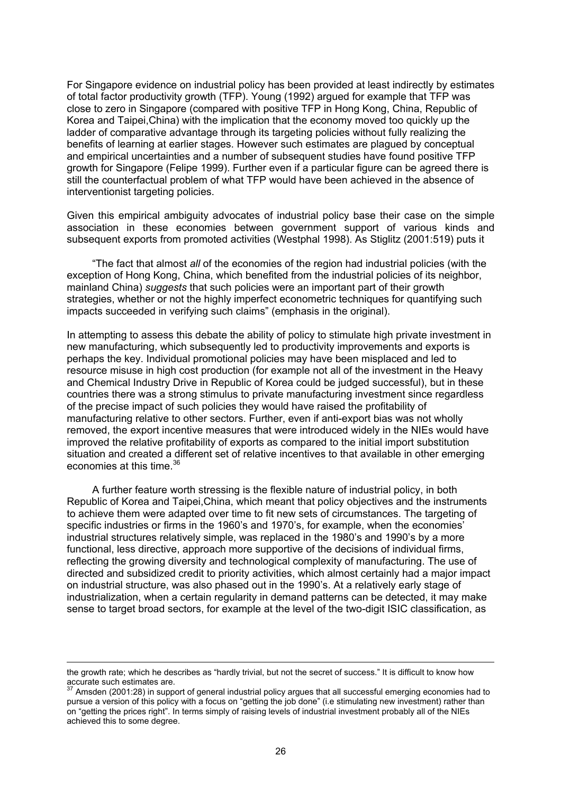For Singapore evidence on industrial policy has been provided at least indirectly by estimates of total factor productivity growth (TFP). Young (1992) argued for example that TFP was close to zero in Singapore (compared with positive TFP in Hong Kong, China, Republic of Korea and Taipei,China) with the implication that the economy moved too quickly up the ladder of comparative advantage through its targeting policies without fully realizing the benefits of learning at earlier stages. However such estimates are plagued by conceptual and empirical uncertainties and a number of subsequent studies have found positive TFP growth for Singapore (Felipe 1999). Further even if a particular figure can be agreed there is still the counterfactual problem of what TFP would have been achieved in the absence of interventionist targeting policies.

Given this empirical ambiguity advocates of industrial policy base their case on the simple association in these economies between government support of various kinds and subsequent exports from promoted activities (Westphal 1998). As Stiglitz (2001:519) puts it

"The fact that almost *all* of the economies of the region had industrial policies (with the exception of Hong Kong, China, which benefited from the industrial policies of its neighbor, mainland China) *suggests* that such policies were an important part of their growth strategies, whether or not the highly imperfect econometric techniques for quantifying such impacts succeeded in verifying such claims" (emphasis in the original).

In attempting to assess this debate the ability of policy to stimulate high private investment in new manufacturing, which subsequently led to productivity improvements and exports is perhaps the key. Individual promotional policies may have been misplaced and led to resource misuse in high cost production (for example not all of the investment in the Heavy and Chemical Industry Drive in Republic of Korea could be judged successful), but in these countries there was a strong stimulus to private manufacturing investment since regardless of the precise impact of such policies they would have raised the profitability of manufacturing relative to other sectors. Further, even if anti-export bias was not wholly removed, the export incentive measures that were introduced widely in the NIEs would have improved the relative profitability of exports as compared to the initial import substitution situation and created a different set of relative incentives to that available in other emerging economies at this time  $36$ 

A further feature worth stressing is the flexible nature of industrial policy, in both Republic of Korea and Taipei,China, which meant that policy objectives and the instruments to achieve them were adapted over time to fit new sets of circumstances. The targeting of specific industries or firms in the 1960's and 1970's, for example, when the economies' industrial structures relatively simple, was replaced in the 1980's and 1990's by a more functional, less directive, approach more supportive of the decisions of individual firms, reflecting the growing diversity and technological complexity of manufacturing. The use of directed and subsidized credit to priority activities, which almost certainly had a major impact on industrial structure, was also phased out in the 1990's. At a relatively early stage of industrialization, when a certain regularity in demand patterns can be detected, it may make sense to target broad sectors, for example at the level of the two-digit ISIC classification, as

the growth rate; which he describes as "hardly trivial, but not the secret of success." It is difficult to know how accurate such estimates are.<br><sup>37</sup> Amsden (2001:28) in support of general industrial policy argues that all successful emerging economies had to

pursue a version of this policy with a focus on "getting the job done" (i.e stimulating new investment) rather than on "getting the prices right". In terms simply of raising levels of industrial investment probably all of the NIEs achieved this to some degree.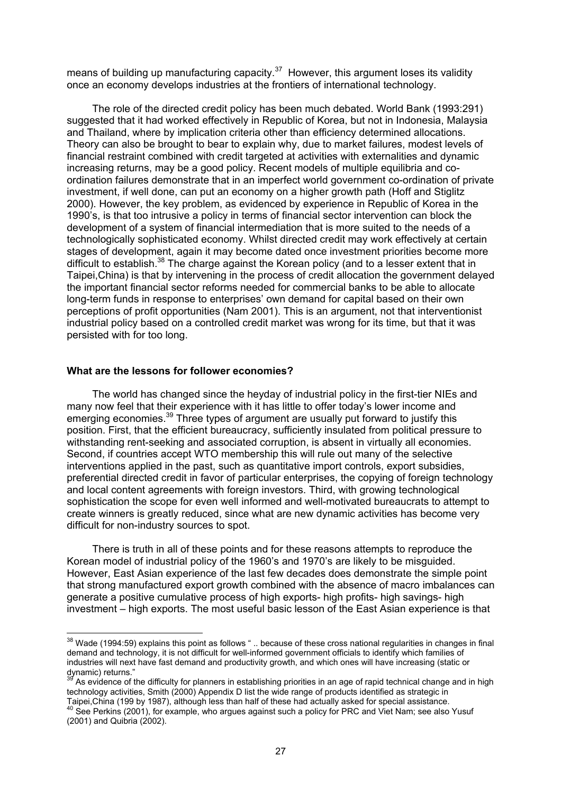means of building up manufacturing capacity. $37$  However, this argument loses its validity once an economy develops industries at the frontiers of international technology.

The role of the directed credit policy has been much debated. World Bank (1993:291) suggested that it had worked effectively in Republic of Korea, but not in Indonesia, Malaysia and Thailand, where by implication criteria other than efficiency determined allocations. Theory can also be brought to bear to explain why, due to market failures, modest levels of financial restraint combined with credit targeted at activities with externalities and dynamic increasing returns, may be a good policy. Recent models of multiple equilibria and coordination failures demonstrate that in an imperfect world government co-ordination of private investment, if well done, can put an economy on a higher growth path (Hoff and Stiglitz 2000). However, the key problem, as evidenced by experience in Republic of Korea in the 1990's, is that too intrusive a policy in terms of financial sector intervention can block the development of a system of financial intermediation that is more suited to the needs of a technologically sophisticated economy. Whilst directed credit may work effectively at certain stages of development, again it may become dated once investment priorities become more difficult to establish.<sup>38</sup> The charge against the Korean policy (and to a lesser extent that in Taipei,China) is that by intervening in the process of credit allocation the government delayed the important financial sector reforms needed for commercial banks to be able to allocate long-term funds in response to enterprises' own demand for capital based on their own perceptions of profit opportunities (Nam 2001). This is an argument, not that interventionist industrial policy based on a controlled credit market was wrong for its time, but that it was persisted with for too long.

#### **What are the lessons for follower economies?**

 $\overline{a}$ 

The world has changed since the heyday of industrial policy in the first-tier NIEs and many now feel that their experience with it has little to offer today's lower income and emerging economies.<sup>39</sup> Three types of argument are usually put forward to justify this position. First, that the efficient bureaucracy, sufficiently insulated from political pressure to withstanding rent-seeking and associated corruption, is absent in virtually all economies. Second, if countries accept WTO membership this will rule out many of the selective interventions applied in the past, such as quantitative import controls, export subsidies, preferential directed credit in favor of particular enterprises, the copying of foreign technology and local content agreements with foreign investors. Third, with growing technological sophistication the scope for even well informed and well-motivated bureaucrats to attempt to create winners is greatly reduced, since what are new dynamic activities has become very difficult for non-industry sources to spot.

There is truth in all of these points and for these reasons attempts to reproduce the Korean model of industrial policy of the 1960's and 1970's are likely to be misguided. However, East Asian experience of the last few decades does demonstrate the simple point that strong manufactured export growth combined with the absence of macro imbalances can generate a positive cumulative process of high exports- high profits- high savings- high investment – high exports. The most useful basic lesson of the East Asian experience is that

 $38$  Wade (1994:59) explains this point as follows " .. because of these cross national regularities in changes in final demand and technology, it is not difficult for well-informed government officials to identify which families of industries will next have fast demand and productivity growth, and which ones will have increasing (static or dynamic) returns."

<sup>&</sup>lt;sup>39</sup> As evidence of the difficulty for planners in establishing priorities in an age of rapid technical change and in high technology activities, Smith (2000) Appendix D list the wide range of products identified as strategic in Taipei, China (199 by 1987), although less than half of these had actually asked for special assistance.

Taipei, China (199 by 1991), although less than half of the special actual actual and actual asked for special a<br><sup>40</sup> See Perkins (2001), for example, who argues against such a policy for PRC and Viet Nam; see also Yusuf (2001) and Quibria (2002).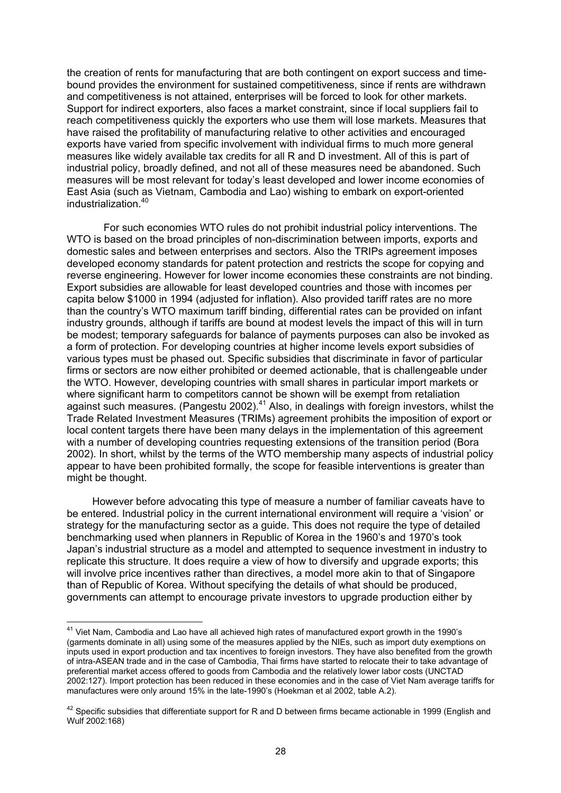the creation of rents for manufacturing that are both contingent on export success and timebound provides the environment for sustained competitiveness, since if rents are withdrawn and competitiveness is not attained, enterprises will be forced to look for other markets. Support for indirect exporters, also faces a market constraint, since if local suppliers fail to reach competitiveness quickly the exporters who use them will lose markets. Measures that have raised the profitability of manufacturing relative to other activities and encouraged exports have varied from specific involvement with individual firms to much more general measures like widely available tax credits for all R and D investment. All of this is part of industrial policy, broadly defined, and not all of these measures need be abandoned. Such measures will be most relevant for today's least developed and lower income economies of East Asia (such as Vietnam, Cambodia and Lao) wishing to embark on export-oriented industrialization<sup>40</sup>

 For such economies WTO rules do not prohibit industrial policy interventions. The WTO is based on the broad principles of non-discrimination between imports, exports and domestic sales and between enterprises and sectors. Also the TRIPs agreement imposes developed economy standards for patent protection and restricts the scope for copying and reverse engineering. However for lower income economies these constraints are not binding. Export subsidies are allowable for least developed countries and those with incomes per capita below \$1000 in 1994 (adjusted for inflation). Also provided tariff rates are no more than the country's WTO maximum tariff binding, differential rates can be provided on infant industry grounds, although if tariffs are bound at modest levels the impact of this will in turn be modest; temporary safeguards for balance of payments purposes can also be invoked as a form of protection. For developing countries at higher income levels export subsidies of various types must be phased out. Specific subsidies that discriminate in favor of particular firms or sectors are now either prohibited or deemed actionable, that is challengeable under the WTO. However, developing countries with small shares in particular import markets or where significant harm to competitors cannot be shown will be exempt from retaliation against such measures. (Pangestu 2002).<sup>41</sup> Also, in dealings with foreign investors, whilst the Trade Related Investment Measures (TRIMs) agreement prohibits the imposition of export or local content targets there have been many delays in the implementation of this agreement with a number of developing countries requesting extensions of the transition period (Bora 2002). In short, whilst by the terms of the WTO membership many aspects of industrial policy appear to have been prohibited formally, the scope for feasible interventions is greater than might be thought.

However before advocating this type of measure a number of familiar caveats have to be entered. Industrial policy in the current international environment will require a 'vision' or strategy for the manufacturing sector as a guide. This does not require the type of detailed benchmarking used when planners in Republic of Korea in the 1960's and 1970's took Japan's industrial structure as a model and attempted to sequence investment in industry to replicate this structure. It does require a view of how to diversify and upgrade exports; this will involve price incentives rather than directives, a model more akin to that of Singapore than of Republic of Korea. Without specifying the details of what should be produced, governments can attempt to encourage private investors to upgrade production either by

 $^{41}$  Viet Nam, Cambodia and Lao have all achieved high rates of manufactured export growth in the 1990's (garments dominate in all) using some of the measures applied by the NIEs, such as import duty exemptions on inputs used in export production and tax incentives to foreign investors. They have also benefited from the growth of intra-ASEAN trade and in the case of Cambodia, Thai firms have started to relocate their to take advantage of preferential market access offered to goods from Cambodia and the relatively lower labor costs (UNCTAD 2002:127). Import protection has been reduced in these economies and in the case of Viet Nam average tariffs for manufactures were only around 15% in the late-1990's (Hoekman et al 2002, table A.2).

 $42$  Specific subsidies that differentiate support for R and D between firms became actionable in 1999 (English and Wulf 2002:168)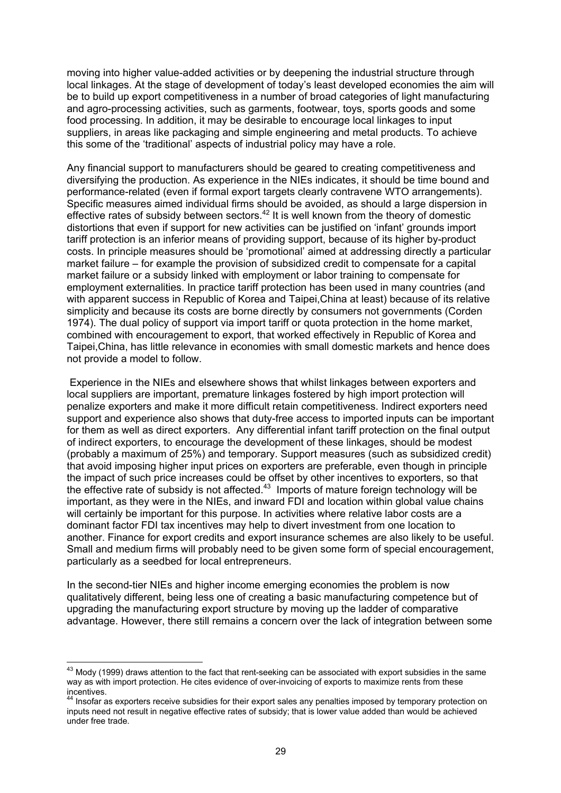moving into higher value-added activities or by deepening the industrial structure through local linkages. At the stage of development of today's least developed economies the aim will be to build up export competitiveness in a number of broad categories of light manufacturing and agro-processing activities, such as garments, footwear, toys, sports goods and some food processing. In addition, it may be desirable to encourage local linkages to input suppliers, in areas like packaging and simple engineering and metal products. To achieve this some of the 'traditional' aspects of industrial policy may have a role.

Any financial support to manufacturers should be geared to creating competitiveness and diversifying the production. As experience in the NIEs indicates, it should be time bound and performance-related (even if formal export targets clearly contravene WTO arrangements). Specific measures aimed individual firms should be avoided, as should a large dispersion in effective rates of subsidy between sectors.<sup>42</sup> It is well known from the theory of domestic distortions that even if support for new activities can be justified on 'infant' grounds import tariff protection is an inferior means of providing support, because of its higher by-product costs. In principle measures should be 'promotional' aimed at addressing directly a particular market failure – for example the provision of subsidized credit to compensate for a capital market failure or a subsidy linked with employment or labor training to compensate for employment externalities. In practice tariff protection has been used in many countries (and with apparent success in Republic of Korea and Taipei,China at least) because of its relative simplicity and because its costs are borne directly by consumers not governments (Corden 1974). The dual policy of support via import tariff or quota protection in the home market, combined with encouragement to export, that worked effectively in Republic of Korea and Taipei,China, has little relevance in economies with small domestic markets and hence does not provide a model to follow.

 Experience in the NIEs and elsewhere shows that whilst linkages between exporters and local suppliers are important, premature linkages fostered by high import protection will penalize exporters and make it more difficult retain competitiveness. Indirect exporters need support and experience also shows that duty-free access to imported inputs can be important for them as well as direct exporters. Any differential infant tariff protection on the final output of indirect exporters, to encourage the development of these linkages, should be modest (probably a maximum of 25%) and temporary. Support measures (such as subsidized credit) that avoid imposing higher input prices on exporters are preferable, even though in principle the impact of such price increases could be offset by other incentives to exporters, so that the effective rate of subsidy is not affected.<sup>43</sup> Imports of mature foreign technology will be important, as they were in the NIEs, and inward FDI and location within global value chains will certainly be important for this purpose. In activities where relative labor costs are a dominant factor FDI tax incentives may help to divert investment from one location to another. Finance for export credits and export insurance schemes are also likely to be useful. Small and medium firms will probably need to be given some form of special encouragement, particularly as a seedbed for local entrepreneurs.

In the second-tier NIEs and higher income emerging economies the problem is now qualitatively different, being less one of creating a basic manufacturing competence but of upgrading the manufacturing export structure by moving up the ladder of comparative advantage. However, there still remains a concern over the lack of integration between some

 $^{43}$  Mody (1999) draws attention to the fact that rent-seeking can be associated with export subsidies in the same way as with import protection. He cites evidence of over-invoicing of exports to maximize rents from these

incentives.<br><sup>44</sup> Insofar as exporters receive subsidies for their export sales any penalties imposed by temporary protection on inputs need not result in negative effective rates of subsidy; that is lower value added than would be achieved under free trade.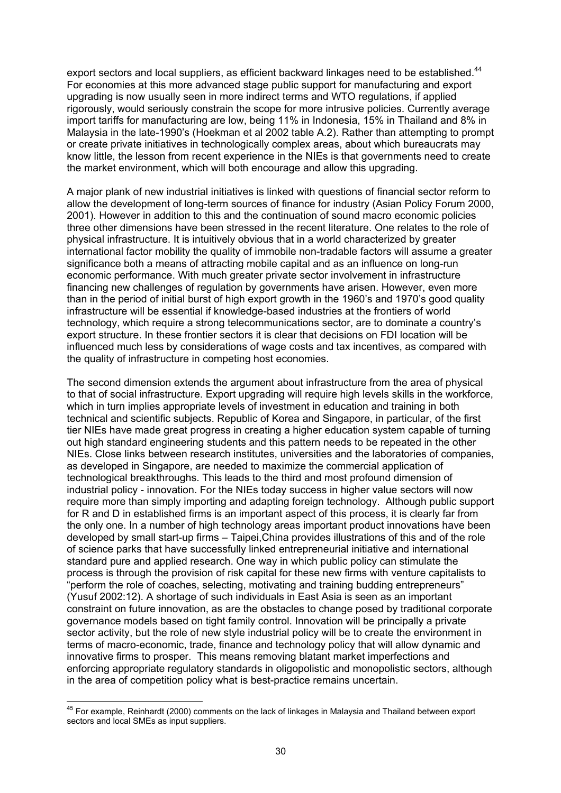export sectors and local suppliers, as efficient backward linkages need to be established.<sup>44</sup> For economies at this more advanced stage public support for manufacturing and export upgrading is now usually seen in more indirect terms and WTO regulations, if applied rigorously, would seriously constrain the scope for more intrusive policies. Currently average import tariffs for manufacturing are low, being 11% in Indonesia, 15% in Thailand and 8% in Malaysia in the late-1990's (Hoekman et al 2002 table A.2). Rather than attempting to prompt or create private initiatives in technologically complex areas, about which bureaucrats may know little, the lesson from recent experience in the NIEs is that governments need to create the market environment, which will both encourage and allow this upgrading.

A major plank of new industrial initiatives is linked with questions of financial sector reform to allow the development of long-term sources of finance for industry (Asian Policy Forum 2000, 2001). However in addition to this and the continuation of sound macro economic policies three other dimensions have been stressed in the recent literature. One relates to the role of physical infrastructure. It is intuitively obvious that in a world characterized by greater international factor mobility the quality of immobile non-tradable factors will assume a greater significance both a means of attracting mobile capital and as an influence on long-run economic performance. With much greater private sector involvement in infrastructure financing new challenges of regulation by governments have arisen. However, even more than in the period of initial burst of high export growth in the 1960's and 1970's good quality infrastructure will be essential if knowledge-based industries at the frontiers of world technology, which require a strong telecommunications sector, are to dominate a country's export structure. In these frontier sectors it is clear that decisions on FDI location will be influenced much less by considerations of wage costs and tax incentives, as compared with the quality of infrastructure in competing host economies.

The second dimension extends the argument about infrastructure from the area of physical to that of social infrastructure. Export upgrading will require high levels skills in the workforce, which in turn implies appropriate levels of investment in education and training in both technical and scientific subjects. Republic of Korea and Singapore, in particular, of the first tier NIEs have made great progress in creating a higher education system capable of turning out high standard engineering students and this pattern needs to be repeated in the other NIEs. Close links between research institutes, universities and the laboratories of companies, as developed in Singapore, are needed to maximize the commercial application of technological breakthroughs. This leads to the third and most profound dimension of industrial policy - innovation. For the NIEs today success in higher value sectors will now require more than simply importing and adapting foreign technology. Although public support for R and D in established firms is an important aspect of this process, it is clearly far from the only one. In a number of high technology areas important product innovations have been developed by small start-up firms – Taipei,China provides illustrations of this and of the role of science parks that have successfully linked entrepreneurial initiative and international standard pure and applied research. One way in which public policy can stimulate the process is through the provision of risk capital for these new firms with venture capitalists to "perform the role of coaches, selecting, motivating and training budding entrepreneurs" (Yusuf 2002:12). A shortage of such individuals in East Asia is seen as an important constraint on future innovation, as are the obstacles to change posed by traditional corporate governance models based on tight family control. Innovation will be principally a private sector activity, but the role of new style industrial policy will be to create the environment in terms of macro-economic, trade, finance and technology policy that will allow dynamic and innovative firms to prosper. This means removing blatant market imperfections and enforcing appropriate regulatory standards in oligopolistic and monopolistic sectors, although in the area of competition policy what is best-practice remains uncertain.

 $^{45}$  For example, Reinhardt (2000) comments on the lack of linkages in Malaysia and Thailand between export sectors and local SMEs as input suppliers.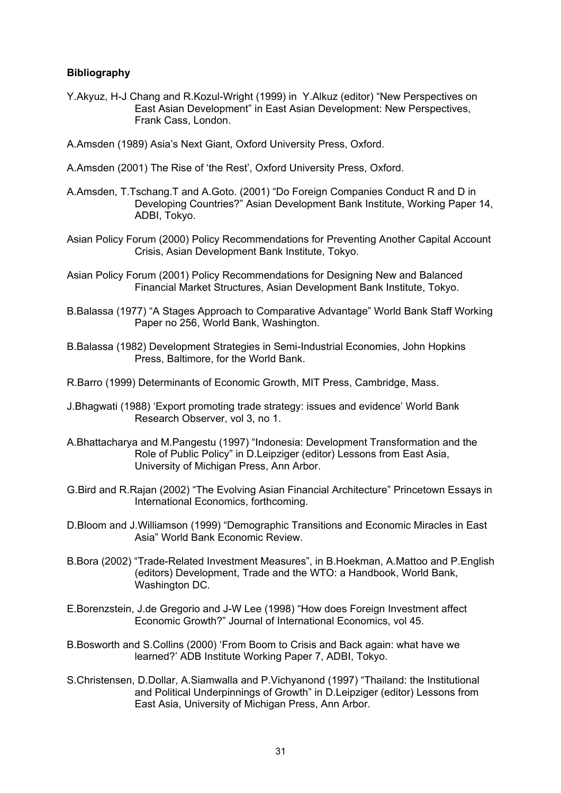# **Bibliography**

- Y.Akyuz, H-J Chang and R.Kozul-Wright (1999) in Y.Alkuz (editor) "New Perspectives on East Asian Development" in East Asian Development: New Perspectives, Frank Cass, London.
- A.Amsden (1989) Asia's Next Giant, Oxford University Press, Oxford.
- A.Amsden (2001) The Rise of 'the Rest', Oxford University Press, Oxford.
- A.Amsden, T.Tschang.T and A.Goto. (2001) "Do Foreign Companies Conduct R and D in Developing Countries?" Asian Development Bank Institute, Working Paper 14, ADBI, Tokyo.
- Asian Policy Forum (2000) Policy Recommendations for Preventing Another Capital Account Crisis, Asian Development Bank Institute, Tokyo.
- Asian Policy Forum (2001) Policy Recommendations for Designing New and Balanced Financial Market Structures, Asian Development Bank Institute, Tokyo.
- B.Balassa (1977) "A Stages Approach to Comparative Advantage" World Bank Staff Working Paper no 256, World Bank, Washington.
- B.Balassa (1982) Development Strategies in Semi-Industrial Economies, John Hopkins Press, Baltimore, for the World Bank.
- R.Barro (1999) Determinants of Economic Growth, MIT Press, Cambridge, Mass.
- J.Bhagwati (1988) 'Export promoting trade strategy: issues and evidence' World Bank Research Observer, vol 3, no 1.
- A.Bhattacharya and M.Pangestu (1997) "Indonesia: Development Transformation and the Role of Public Policy" in D.Leipziger (editor) Lessons from East Asia, University of Michigan Press, Ann Arbor.
- G.Bird and R.Rajan (2002) "The Evolving Asian Financial Architecture" Princetown Essays in International Economics, forthcoming.
- D.Bloom and J.Williamson (1999) "Demographic Transitions and Economic Miracles in East Asia" World Bank Economic Review.
- B.Bora (2002) "Trade-Related Investment Measures", in B.Hoekman, A.Mattoo and P.English (editors) Development, Trade and the WTO: a Handbook, World Bank, Washington DC.
- E.Borenzstein, J.de Gregorio and J-W Lee (1998) "How does Foreign Investment affect Economic Growth?" Journal of International Economics, vol 45.
- B.Bosworth and S.Collins (2000) 'From Boom to Crisis and Back again: what have we learned?' ADB Institute Working Paper 7, ADBI, Tokyo.
- S.Christensen, D.Dollar, A.Siamwalla and P.Vichyanond (1997) "Thailand: the Institutional and Political Underpinnings of Growth" in D.Leipziger (editor) Lessons from East Asia, University of Michigan Press, Ann Arbor.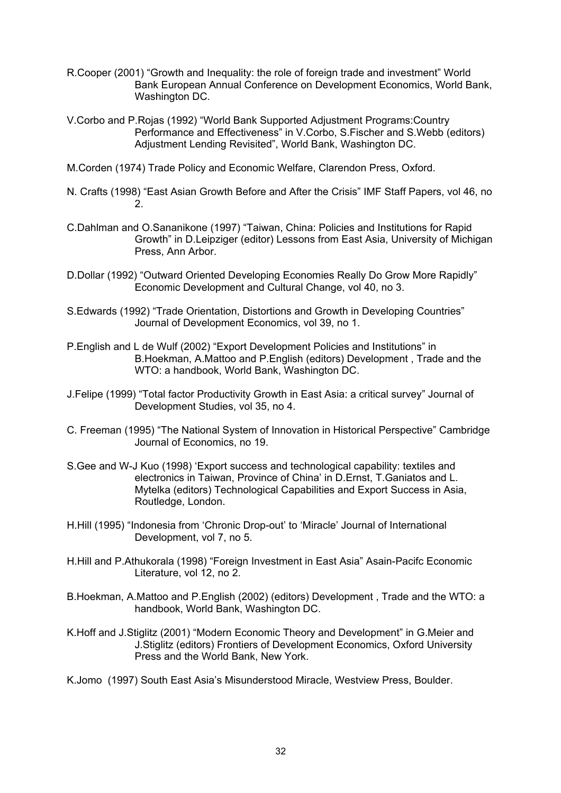- R.Cooper (2001) "Growth and Inequality: the role of foreign trade and investment" World Bank European Annual Conference on Development Economics, World Bank, Washington DC.
- V.Corbo and P.Rojas (1992) "World Bank Supported Adjustment Programs:Country Performance and Effectiveness" in V.Corbo, S.Fischer and S.Webb (editors) Adjustment Lending Revisited", World Bank, Washington DC.
- M.Corden (1974) Trade Policy and Economic Welfare, Clarendon Press, Oxford.
- N. Crafts (1998) "East Asian Growth Before and After the Crisis" IMF Staff Papers, vol 46, no 2.
- C.Dahlman and O.Sananikone (1997) "Taiwan, China: Policies and Institutions for Rapid Growth" in D.Leipziger (editor) Lessons from East Asia, University of Michigan Press, Ann Arbor.
- D.Dollar (1992) "Outward Oriented Developing Economies Really Do Grow More Rapidly" Economic Development and Cultural Change, vol 40, no 3.
- S.Edwards (1992) "Trade Orientation, Distortions and Growth in Developing Countries" Journal of Development Economics, vol 39, no 1.
- P.English and L de Wulf (2002) "Export Development Policies and Institutions" in B.Hoekman, A.Mattoo and P.English (editors) Development , Trade and the WTO: a handbook, World Bank, Washington DC.
- J.Felipe (1999) "Total factor Productivity Growth in East Asia: a critical survey" Journal of Development Studies, vol 35, no 4.
- C. Freeman (1995) "The National System of Innovation in Historical Perspective" Cambridge Journal of Economics, no 19.
- S.Gee and W-J Kuo (1998) 'Export success and technological capability: textiles and electronics in Taiwan, Province of China' in D.Ernst, T.Ganiatos and L. Mytelka (editors) Technological Capabilities and Export Success in Asia, Routledge, London.
- H.Hill (1995) "Indonesia from 'Chronic Drop-out' to 'Miracle' Journal of International Development, vol 7, no 5.
- H.Hill and P.Athukorala (1998) "Foreign Investment in East Asia" Asain-Pacifc Economic Literature, vol 12, no 2.
- B.Hoekman, A.Mattoo and P.English (2002) (editors) Development , Trade and the WTO: a handbook, World Bank, Washington DC.
- K.Hoff and J.Stiglitz (2001) "Modern Economic Theory and Development" in G.Meier and J.Stiglitz (editors) Frontiers of Development Economics, Oxford University Press and the World Bank, New York.
- K.Jomo (1997) South East Asia's Misunderstood Miracle, Westview Press, Boulder.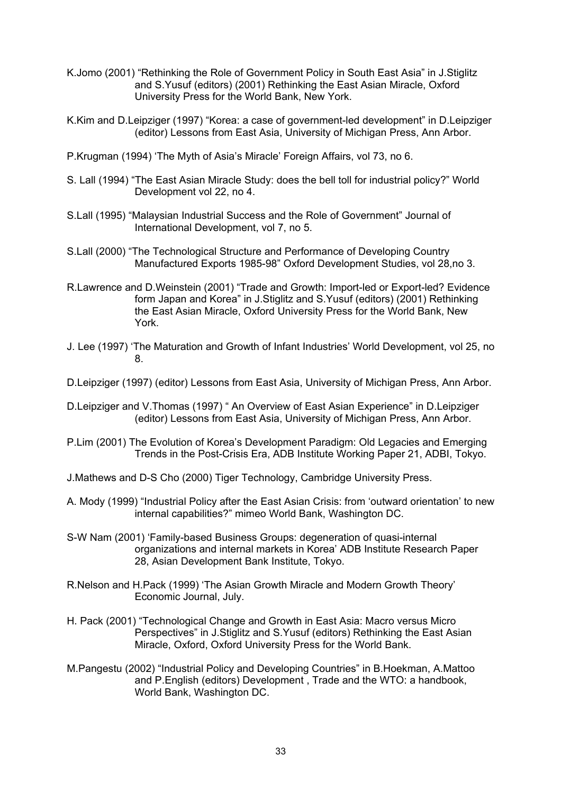- K.Jomo (2001) "Rethinking the Role of Government Policy in South East Asia" in J.Stiglitz and S.Yusuf (editors) (2001) Rethinking the East Asian Miracle, Oxford University Press for the World Bank, New York.
- K.Kim and D.Leipziger (1997) "Korea: a case of government-led development" in D.Leipziger (editor) Lessons from East Asia, University of Michigan Press, Ann Arbor.
- P.Krugman (1994) 'The Myth of Asia's Miracle' Foreign Affairs, vol 73, no 6.
- S. Lall (1994) "The East Asian Miracle Study: does the bell toll for industrial policy?" World Development vol 22, no 4.
- S.Lall (1995) "Malaysian Industrial Success and the Role of Government" Journal of International Development, vol 7, no 5.
- S.Lall (2000) "The Technological Structure and Performance of Developing Country Manufactured Exports 1985-98" Oxford Development Studies, vol 28,no 3.
- R.Lawrence and D.Weinstein (2001) "Trade and Growth: Import-led or Export-led? Evidence form Japan and Korea" in J.Stiglitz and S.Yusuf (editors) (2001) Rethinking the East Asian Miracle, Oxford University Press for the World Bank, New York.
- J. Lee (1997) 'The Maturation and Growth of Infant Industries' World Development, vol 25, no 8.
- D.Leipziger (1997) (editor) Lessons from East Asia, University of Michigan Press, Ann Arbor.
- D.Leipziger and V.Thomas (1997) " An Overview of East Asian Experience" in D.Leipziger (editor) Lessons from East Asia, University of Michigan Press, Ann Arbor.
- P.Lim (2001) The Evolution of Korea's Development Paradigm: Old Legacies and Emerging Trends in the Post-Crisis Era, ADB Institute Working Paper 21, ADBI, Tokyo.
- J.Mathews and D-S Cho (2000) Tiger Technology, Cambridge University Press.
- A. Mody (1999) "Industrial Policy after the East Asian Crisis: from 'outward orientation' to new internal capabilities?" mimeo World Bank, Washington DC.
- S-W Nam (2001) 'Family-based Business Groups: degeneration of quasi-internal organizations and internal markets in Korea' ADB Institute Research Paper 28, Asian Development Bank Institute, Tokyo.
- R.Nelson and H.Pack (1999) 'The Asian Growth Miracle and Modern Growth Theory' Economic Journal, July.
- H. Pack (2001) "Technological Change and Growth in East Asia: Macro versus Micro Perspectives" in J.Stiglitz and S.Yusuf (editors) Rethinking the East Asian Miracle, Oxford, Oxford University Press for the World Bank.
- M.Pangestu (2002) "Industrial Policy and Developing Countries" in B.Hoekman, A.Mattoo and P.English (editors) Development , Trade and the WTO: a handbook, World Bank, Washington DC.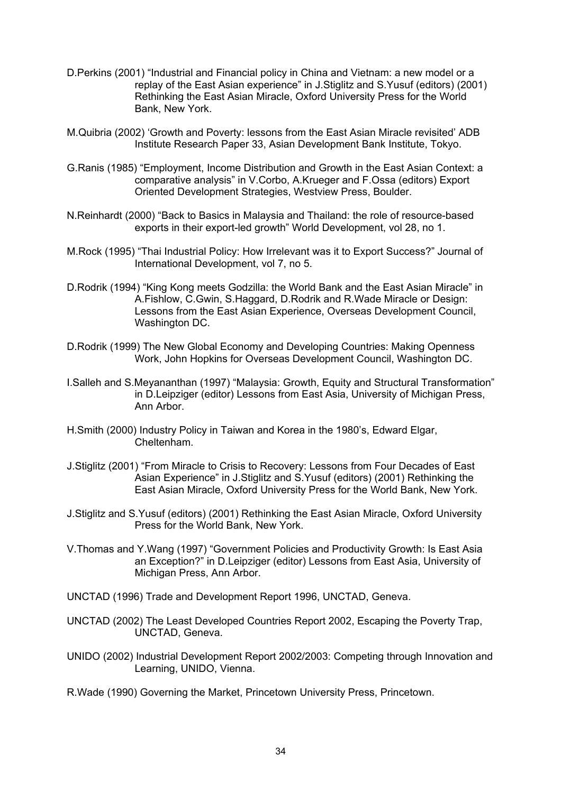- D.Perkins (2001) "Industrial and Financial policy in China and Vietnam: a new model or a replay of the East Asian experience" in J.Stiglitz and S.Yusuf (editors) (2001) Rethinking the East Asian Miracle, Oxford University Press for the World Bank, New York.
- M.Quibria (2002) 'Growth and Poverty: lessons from the East Asian Miracle revisited' ADB Institute Research Paper 33, Asian Development Bank Institute, Tokyo.
- G.Ranis (1985) "Employment, Income Distribution and Growth in the East Asian Context: a comparative analysis" in V.Corbo, A.Krueger and F.Ossa (editors) Export Oriented Development Strategies, Westview Press, Boulder.
- N.Reinhardt (2000) "Back to Basics in Malaysia and Thailand: the role of resource-based exports in their export-led growth" World Development, vol 28, no 1.
- M.Rock (1995) "Thai Industrial Policy: How Irrelevant was it to Export Success?" Journal of International Development, vol 7, no 5.
- D.Rodrik (1994) "King Kong meets Godzilla: the World Bank and the East Asian Miracle" in A.Fishlow, C.Gwin, S.Haggard, D.Rodrik and R.Wade Miracle or Design: Lessons from the East Asian Experience, Overseas Development Council, Washington DC.
- D.Rodrik (1999) The New Global Economy and Developing Countries: Making Openness Work, John Hopkins for Overseas Development Council, Washington DC.
- I.Salleh and S.Meyananthan (1997) "Malaysia: Growth, Equity and Structural Transformation" in D.Leipziger (editor) Lessons from East Asia, University of Michigan Press, Ann Arbor.
- H.Smith (2000) Industry Policy in Taiwan and Korea in the 1980's, Edward Elgar, Cheltenham.
- J.Stiglitz (2001) "From Miracle to Crisis to Recovery: Lessons from Four Decades of East Asian Experience" in J.Stiglitz and S.Yusuf (editors) (2001) Rethinking the East Asian Miracle, Oxford University Press for the World Bank, New York.
- J.Stiglitz and S.Yusuf (editors) (2001) Rethinking the East Asian Miracle, Oxford University Press for the World Bank, New York.
- V.Thomas and Y.Wang (1997) "Government Policies and Productivity Growth: Is East Asia an Exception?" in D.Leipziger (editor) Lessons from East Asia, University of Michigan Press, Ann Arbor.
- UNCTAD (1996) Trade and Development Report 1996, UNCTAD, Geneva.
- UNCTAD (2002) The Least Developed Countries Report 2002, Escaping the Poverty Trap, UNCTAD, Geneva.
- UNIDO (2002) Industrial Development Report 2002/2003: Competing through Innovation and Learning, UNIDO, Vienna.
- R.Wade (1990) Governing the Market, Princetown University Press, Princetown.